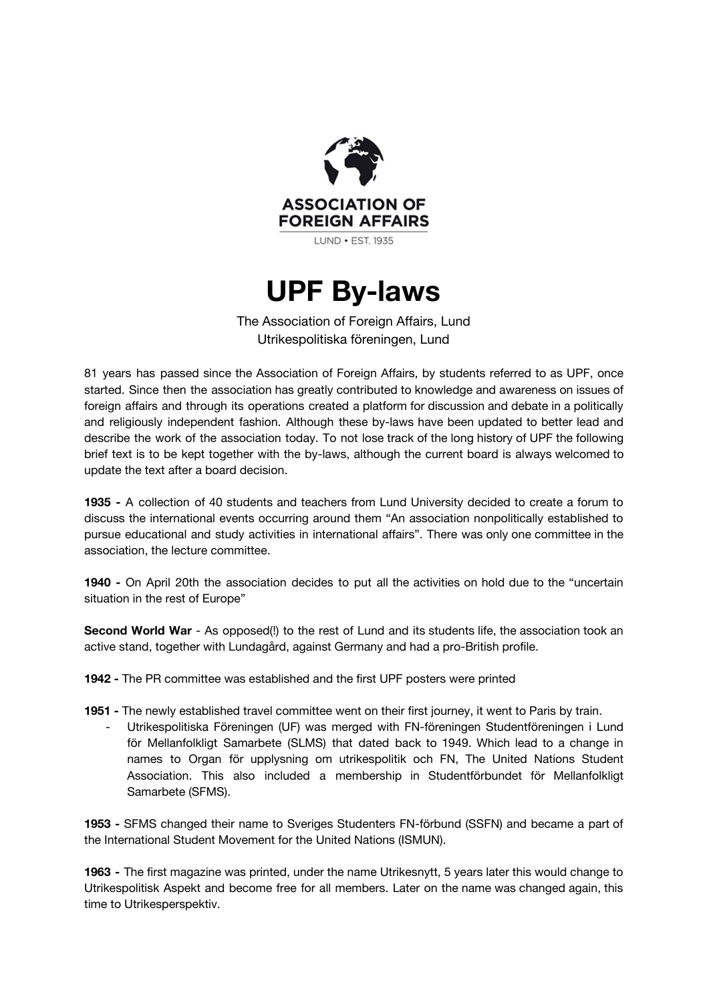

# **UPF By-laws**

The Association of Foreign Affairs, Lund Utrikespolitiska föreningen, Lund

81 years has passed since the Association of Foreign Affairs, by students referred to as UPF, once started. Since then the association has greatly contributed to knowledge and awareness on issues of foreign affairs and through its operations created a platform for discussion and debate in a politically and religiously independent fashion. Although these by-laws have been updated to better lead and describe the work of the association today. To not lose track of the long history of UPF the following brief text is to be kept together with the by-laws, although the current board is always welcomed to update the text after a board decision.

**1935 -** A collection of 40 students and teachers from Lund University decided to create a forum to discuss the international events occurring around them "An association nonpolitically established to pursue educational and study activities in international affairs". There was only one committee in the association, the lecture committee.

**1940 -** On April 20th the association decides to put all the activities on hold due to the "uncertain situation in the rest of Europe"

**Second World War** - As opposed(!) to the rest of Lund and its students life, the association took an active stand, together with Lundagård, against Germany and had a pro-British profile.

**1942 -** The PR committee was established and the first UPF posters were printed

**1951 -** The newly established travel committee went on their first journey, it went to Paris by train.

Utrikespolitiska Föreningen (UF) was merged with FN-föreningen Studentföreningen i Lund för Mellanfolkligt Samarbete (SLMS) that dated back to 1949. Which lead to a change in names to Organ för upplysning om utrikespolitik och FN, The United Nations Student Association. This also included a membership in Studentförbundet för Mellanfolkligt Samarbete (SFMS).

**1953 -** SFMS changed their name to Sveriges Studenters FN-förbund (SSFN) and became a part of the International Student Movement for the United Nations (ISMUN).

**1963 -** The first magazine was printed, under the name Utrikesnytt, 5 years later this would change to Utrikespolitisk Aspekt and become free for all members. Later on the name was changed again, this time to Utrikesperspektiv.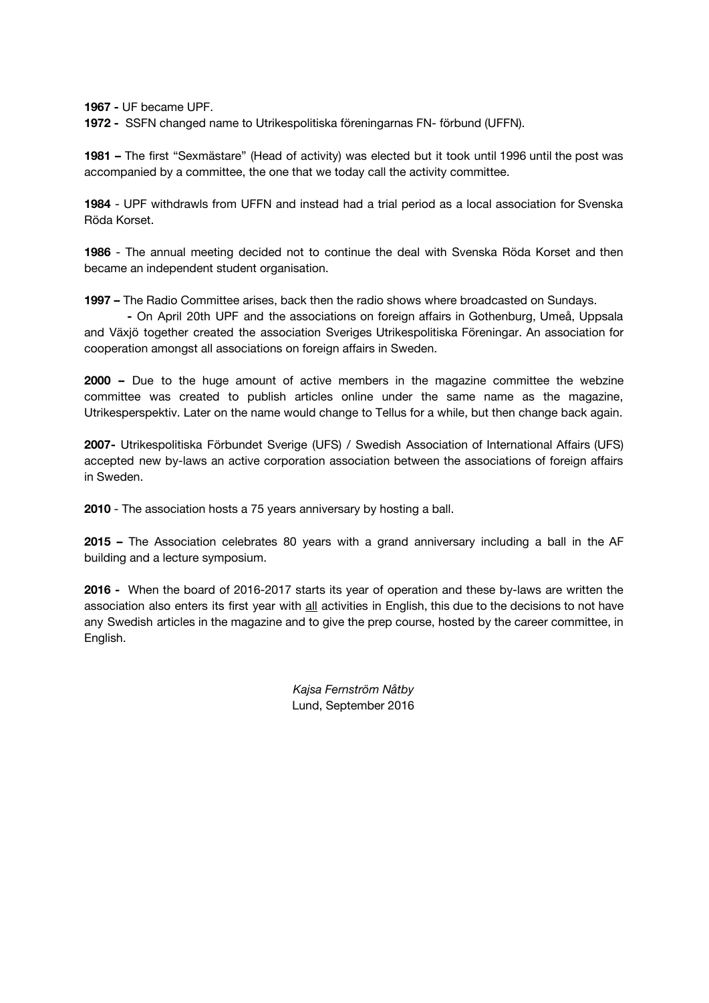**1967 -** UF became UPF.

**1972 -** SSFN changed name to Utrikespolitiska föreningarnas FN- förbund (UFFN).

**1981 –** The first "Sexmästare" (Head of activity) was elected but it took until 1996 until the post was accompanied by a committee, the one that we today call the activity committee.

**1984** - UPF withdrawls from UFFN and instead had a trial period as a local association for Svenska Röda Korset.

**1986** - The annual meeting decided not to continue the deal with Svenska Röda Korset and then became an independent student organisation.

**1997 –** The Radio Committee arises, back then the radio shows where broadcasted on Sundays.

**-** On April 20th UPF and the associations on foreign affairs in Gothenburg, Umeå, Uppsala and Växjö together created the association Sveriges Utrikespolitiska Föreningar. An association for cooperation amongst all associations on foreign affairs in Sweden.

**2000 –** Due to the huge amount of active members in the magazine committee the webzine committee was created to publish articles online under the same name as the magazine, Utrikesperspektiv. Later on the name would change to Tellus for a while, but then change back again.

**2007-** Utrikespolitiska Förbundet Sverige (UFS) / Swedish Association of International Affairs (UFS) accepted new by-laws an active corporation association between the associations of foreign affairs in Sweden.

**2010** - The association hosts a 75 years anniversary by hosting a ball.

**2015 –** The Association celebrates 80 years with a grand anniversary including a ball in the AF building and a lecture symposium.

**2016 -** When the board of 2016-2017 starts its year of operation and these by-laws are written the association also enters its first year with all activities in English, this due to the decisions to not have any Swedish articles in the magazine and to give the prep course, hosted by the career committee, in English.

> *Kajsa Fernström Nåtby* Lund, September 2016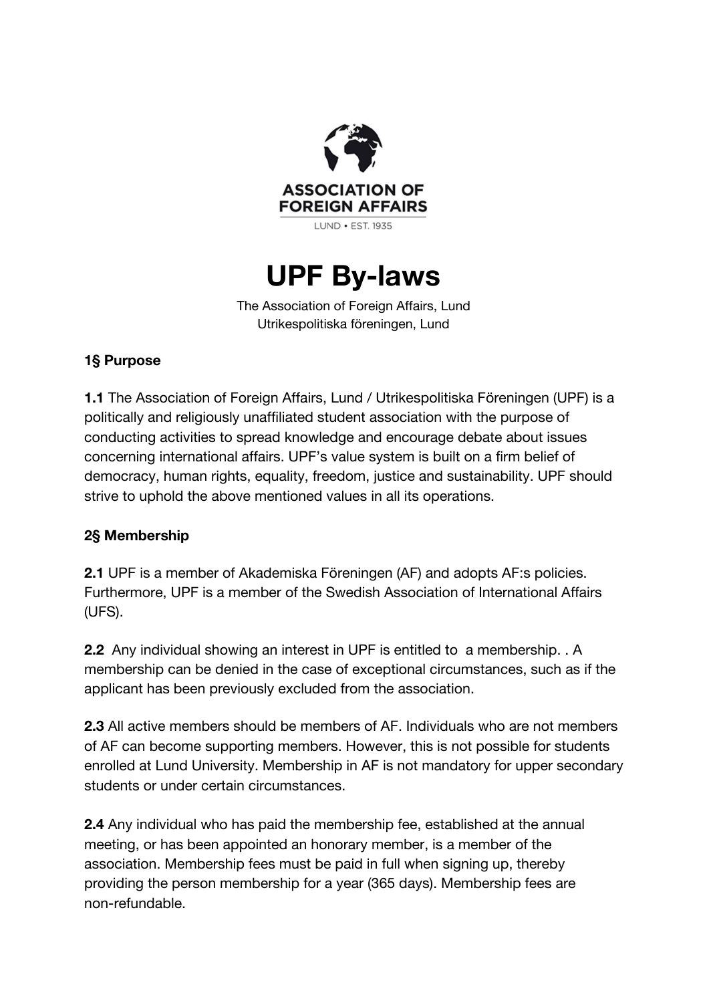

# **UPF By-laws**

The Association of Foreign Affairs, Lund Utrikespolitiska föreningen, Lund

## **1§ Purpose**

**1.1** The Association of Foreign Affairs, Lund / Utrikespolitiska Föreningen (UPF) is a politically and religiously unaffiliated student association with the purpose of conducting activities to spread knowledge and encourage debate about issues concerning international affairs. UPF's value system is built on a firm belief of democracy, human rights, equality, freedom, justice and sustainability. UPF should strive to uphold the above mentioned values in all its operations.

## **2§ Membership**

**2.1** UPF is a member of Akademiska Föreningen (AF) and adopts AF:s policies. Furthermore, UPF is a member of the Swedish Association of International Affairs (UFS).

**2.2**  Any individual showing an interest in UPF is entitled to a membership. . A membership can be denied in the case of exceptional circumstances, such as if the applicant has been previously excluded from the association.

**2.3** All active members should be members of AF. Individuals who are not members of AF can become supporting members. However, this is not possible for students enrolled at Lund University. Membership in AF is not mandatory for upper secondary students or under certain circumstances.

**2.4** Any individual who has paid the membership fee, established at the annual meeting, or has been appointed an honorary member, is a member of the association. Membership fees must be paid in full when signing up, thereby providing the person membership for a year (365 days). Membership fees are non-refundable.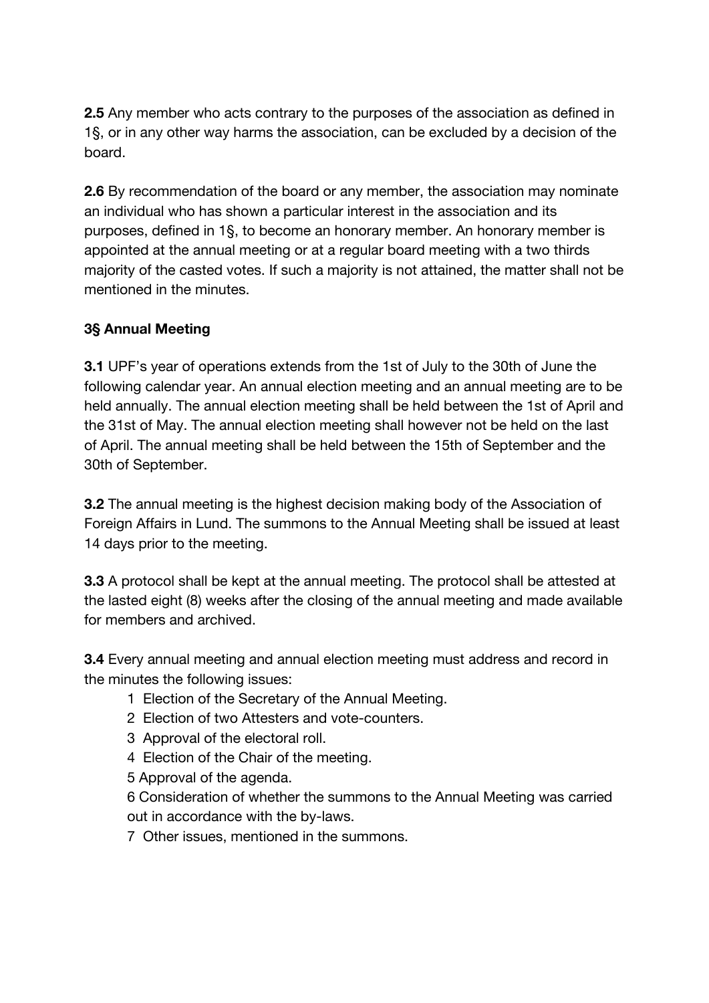**2.5** Any member who acts contrary to the purposes of the association as defined in 1§, or in any other way harms the association, can be excluded by a decision of the board.

**2.6** By recommendation of the board or any member, the association may nominate an individual who has shown a particular interest in the association and its purposes, defined in 1§, to become an honorary member. An honorary member is appointed at the annual meeting or at a regular board meeting with a two thirds majority of the casted votes. If such a majority is not attained, the matter shall not be mentioned in the minutes.

### **3§ Annual Meeting**

**3.1** UPF's year of operations extends from the 1st of July to the 30th of June the following calendar year. An annual election meeting and an annual meeting are to be held annually. The annual election meeting shall be held between the 1st of April and the 31st of May. The annual election meeting shall however not be held on the last of April. The annual meeting shall be held between the 15th of September and the 30th of September.

**3.2** The annual meeting is the highest decision making body of the Association of Foreign Affairs in Lund. The summons to the Annual Meeting shall be issued at least 14 days prior to the meeting.

**3.3** A protocol shall be kept at the annual meeting. The protocol shall be attested at the lasted eight (8) weeks after the closing of the annual meeting and made available for members and archived.

**3.4** Every annual meeting and annual election meeting must address and record in the minutes the following issues:

- 1 Election of the Secretary of the Annual Meeting.
- 2 Election of two Attesters and vote-counters.
- 3 Approval of the electoral roll.
- 4 Election of the Chair of the meeting.
- 5 Approval of the agenda.

6 Consideration of whether the summons to the Annual Meeting was carried out in accordance with the by-laws.

7 Other issues, mentioned in the summons.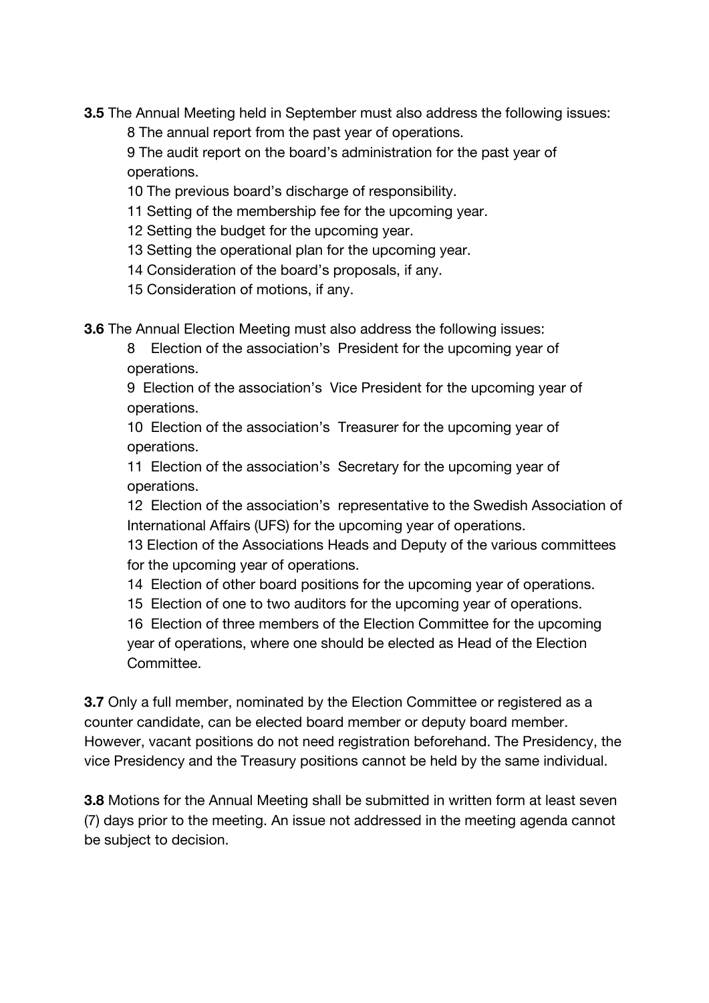**3.5** The Annual Meeting held in September must also address the following issues:

8 The annual report from the past year of operations.

9 The audit report on the board's administration for the past year of operations.

- 10 The previous board's discharge of responsibility.
- 11 Setting of the membership fee for the upcoming year.
- 12 Setting the budget for the upcoming year.
- 13 Setting the operational plan for the upcoming year.
- 14 Consideration of the board's proposals, if any.
- 15 Consideration of motions, if any.

**3.6** The Annual Election Meeting must also address the following issues:

8 Election of the association's President for the upcoming year of operations.

9 Election of the association's Vice President for the upcoming year of operations.

10 Election of the association's Treasurer for the upcoming year of operations.

11 Election of the association's Secretary for the upcoming year of operations.

12 Election of the association's representative to the Swedish Association of International Affairs (UFS) for the upcoming year of operations.

13 Election of the Associations Heads and Deputy of the various committees for the upcoming year of operations.

- 14 Election of other board positions for the upcoming year of operations.
- 15 Election of one to two auditors for the upcoming year of operations.

16 Election of three members of the Election Committee for the upcoming year of operations, where one should be elected as Head of the Election Committee.

**3.7** Only a full member, nominated by the Election Committee or registered as a counter candidate, can be elected board member or deputy board member. However, vacant positions do not need registration beforehand. The Presidency, the vice Presidency and the Treasury positions cannot be held by the same individual.

**3.8** Motions for the Annual Meeting shall be submitted in written form at least seven (7) days prior to the meeting. An issue not addressed in the meeting agenda cannot be subject to decision.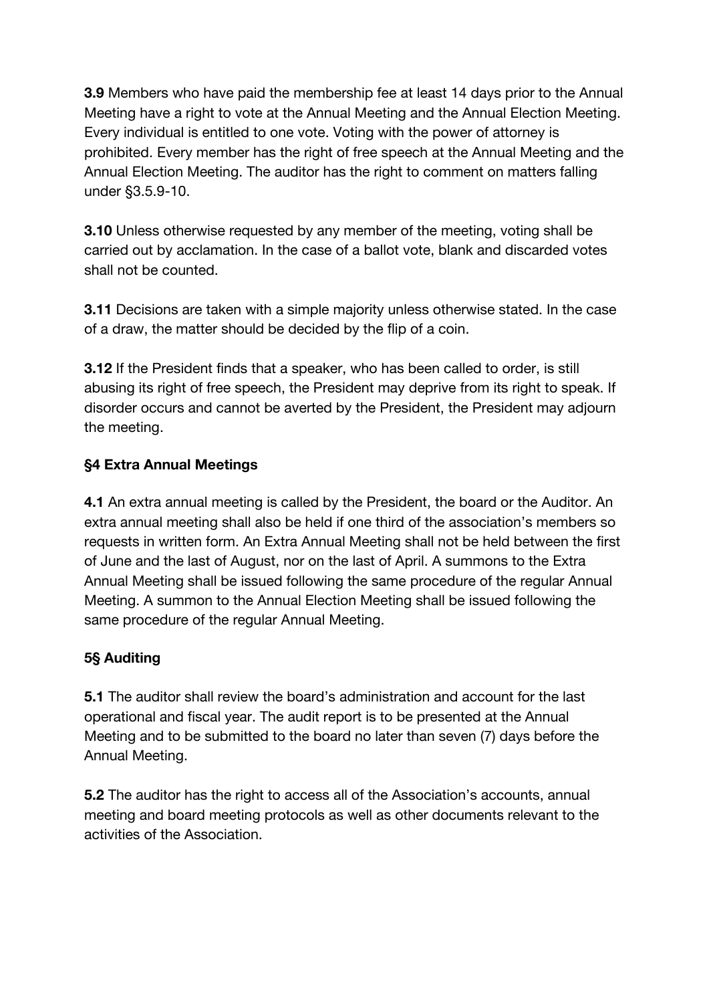**3.9** Members who have paid the membership fee at least 14 days prior to the Annual Meeting have a right to vote at the Annual Meeting and the Annual Election Meeting. Every individual is entitled to one vote. Voting with the power of attorney is prohibited. Every member has the right of free speech at the Annual Meeting and the Annual Election Meeting. The auditor has the right to comment on matters falling under §3.5.9-10.

**3.10** Unless otherwise requested by any member of the meeting, voting shall be carried out by acclamation. In the case of a ballot vote, blank and discarded votes shall not be counted.

**3.11** Decisions are taken with a simple majority unless otherwise stated. In the case of a draw, the matter should be decided by the flip of a coin.

**3.12** If the President finds that a speaker, who has been called to order, is still abusing its right of free speech, the President may deprive from its right to speak. If disorder occurs and cannot be averted by the President, the President may adjourn the meeting.

## **§4 Extra Annual Meetings**

**4.1** An extra annual meeting is called by the President, the board or the Auditor. An extra annual meeting shall also be held if one third of the association's members so requests in written form. An Extra Annual Meeting shall not be held between the first of June and the last of August, nor on the last of April. A summons to the Extra Annual Meeting shall be issued following the same procedure of the regular Annual Meeting. A summon to the Annual Election Meeting shall be issued following the same procedure of the regular Annual Meeting.

## **5§ Auditing**

**5.1** The auditor shall review the board's administration and account for the last operational and fiscal year. The audit report is to be presented at the Annual Meeting and to be submitted to the board no later than seven (7) days before the Annual Meeting.

**5.2** The auditor has the right to access all of the Association's accounts, annual meeting and board meeting protocols as well as other documents relevant to the activities of the Association.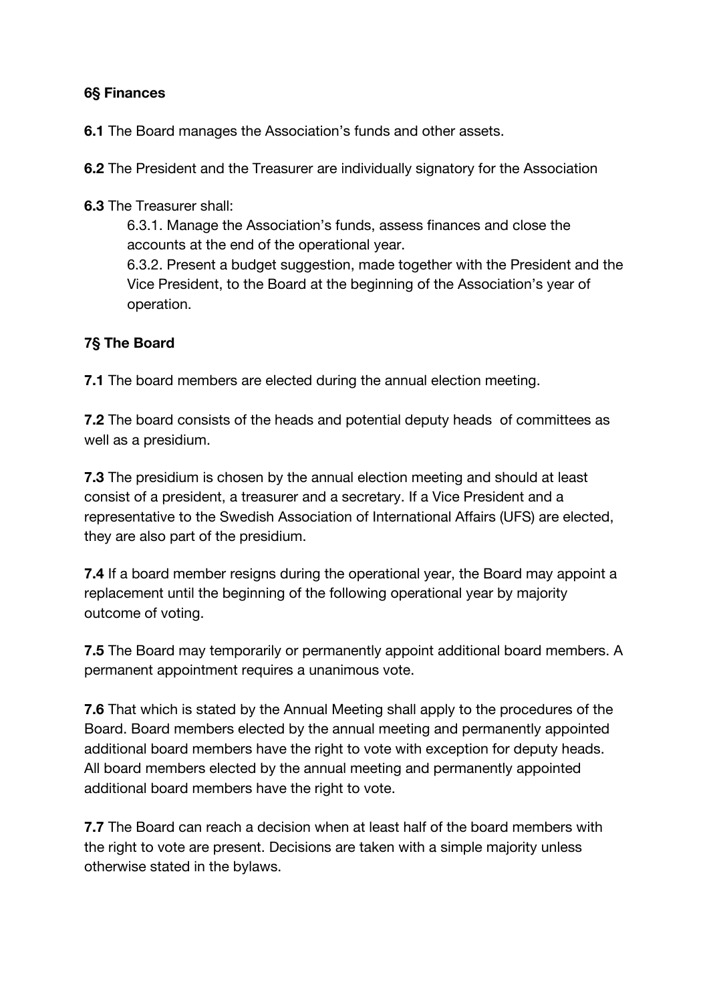### **6§ Finances**

**6.1** The Board manages the Association's funds and other assets.

**6.2** The President and the Treasurer are individually signatory for the Association

**6.3** The Treasurer shall:

6.3.1. Manage the Association's funds, assess finances and close the accounts at the end of the operational year.

6.3.2. Present a budget suggestion, made together with the President and the Vice President, to the Board at the beginning of the Association's year of operation.

## **7§ The Board**

**7.1** The board members are elected during the annual election meeting.

**7.2** The board consists of the heads and potential deputy heads of committees as well as a presidium.

**7.3** The presidium is chosen by the annual election meeting and should at least consist of a president, a treasurer and a secretary. If a Vice President and a representative to the Swedish Association of International Affairs (UFS) are elected, they are also part of the presidium.

**7.4** If a board member resigns during the operational year, the Board may appoint a replacement until the beginning of the following operational year by majority outcome of voting.

**7.5** The Board may temporarily or permanently appoint additional board members. A permanent appointment requires a unanimous vote.

**7.6** That which is stated by the Annual Meeting shall apply to the procedures of the Board. Board members elected by the annual meeting and permanently appointed additional board members have the right to vote with exception for deputy heads. All board members elected by the annual meeting and permanently appointed additional board members have the right to vote.

**7.7** The Board can reach a decision when at least half of the board members with the right to vote are present. Decisions are taken with a simple majority unless otherwise stated in the bylaws.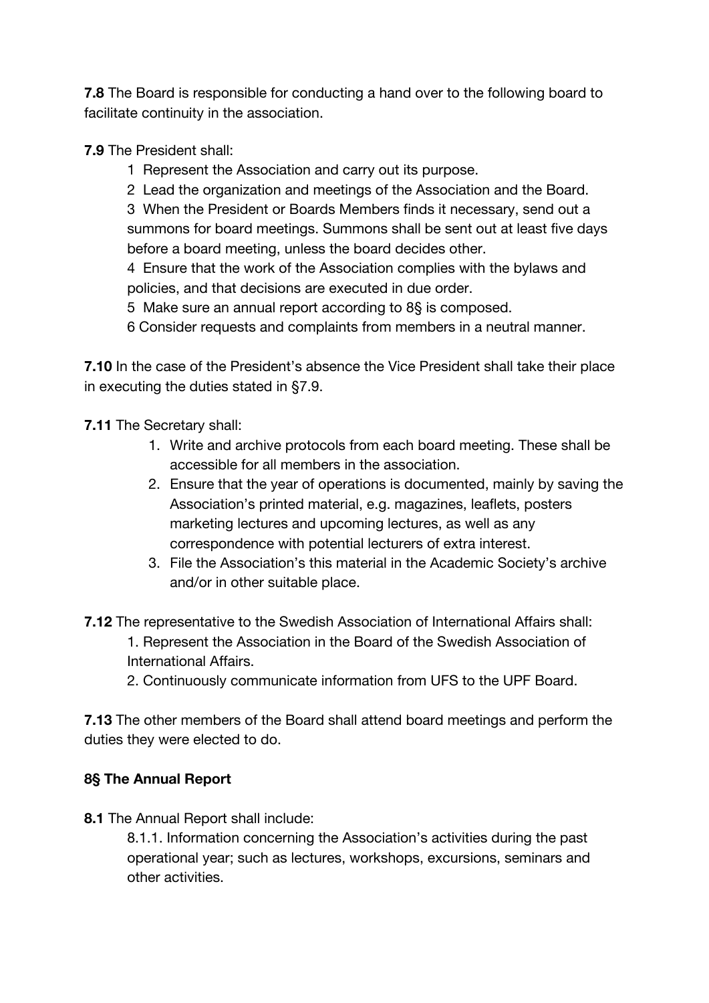**7.8** The Board is responsible for conducting a hand over to the following board to facilitate continuity in the association.

**7.9** The President shall:

- 1 Represent the Association and carry out its purpose.
- 2 Lead the organization and meetings of the Association and the Board.

3 When the President or Boards Members finds it necessary, send out a summons for board meetings. Summons shall be sent out at least five days before a board meeting, unless the board decides other.

4 Ensure that the work of the Association complies with the bylaws and policies, and that decisions are executed in due order.

5 Make sure an annual report according to 8§ is composed.

6 Consider requests and complaints from members in a neutral manner.

**7.10** In the case of the President's absence the Vice President shall take their place in executing the duties stated in §7.9.

**7.11** The Secretary shall:

- 1. Write and archive protocols from each board meeting. These shall be accessible for all members in the association.
- 2. Ensure that the year of operations is documented, mainly by saving the Association's printed material, e.g. magazines, leaflets, posters marketing lectures and upcoming lectures, as well as any correspondence with potential lecturers of extra interest.
- 3. File the Association's this material in the Academic Society's archive and/or in other suitable place.

**7.12** The representative to the Swedish Association of International Affairs shall:

- 1. Represent the Association in the Board of the Swedish Association of International Affairs.
- 2. Continuously communicate information from UFS to the UPF Board.

**7.13** The other members of the Board shall attend board meetings and perform the duties they were elected to do.

## **8§ The Annual Report**

**8.1** The Annual Report shall include:

8.1.1. Information concerning the Association's activities during the past operational year; such as lectures, workshops, excursions, seminars and other activities.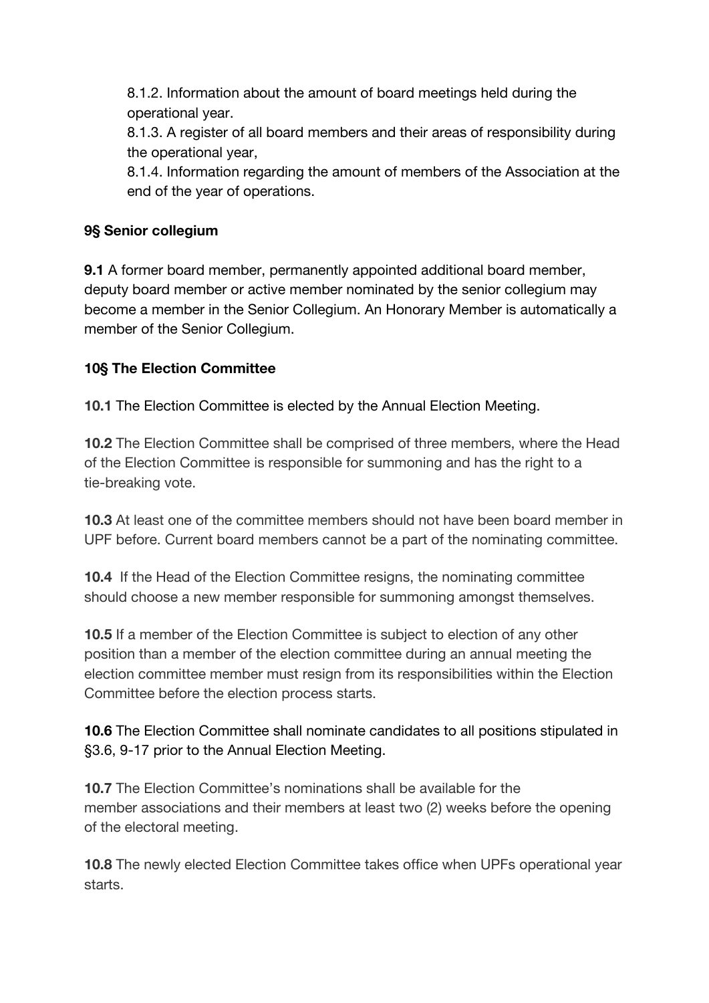8.1.2. Information about the amount of board meetings held during the operational year.

8.1.3. A register of all board members and their areas of responsibility during the operational year,

8.1.4. Information regarding the amount of members of the Association at the end of the year of operations.

## **9§ Senior collegium**

**9.1** A former board member, permanently appointed additional board member, deputy board member or active member nominated by the senior collegium may become a member in the Senior Collegium. An Honorary Member is automatically a member of the Senior Collegium.

## **10§ The Election Committee**

**10.1** The Election Committee is elected by the Annual Election Meeting.

**10.2** The Election Committee shall be comprised of three members, where the Head of the Election Committee is responsible for summoning and has the right to a tie-breaking vote.

**10.3** At least one of the committee members should not have been board member in UPF before. Current board members cannot be a part of the nominating committee.

**10.4**  If the Head of the Election Committee resigns, the nominating committee should choose a new member responsible for summoning amongst themselves.

**10.5** If a member of the Election Committee is subject to election of any other position than a member of the election committee during an annual meeting the election committee member must resign from its responsibilities within the Election Committee before the election process starts.

**10.6** The Election Committee shall nominate candidates to all positions stipulated in §3.6, 9-17 prior to the Annual Election Meeting.

**10.7** The Election Committee's nominations shall be available for the member associations and their members at least two (2) weeks before the opening of the electoral meeting.

**10.8** The newly elected Election Committee takes office when UPFs operational year starts.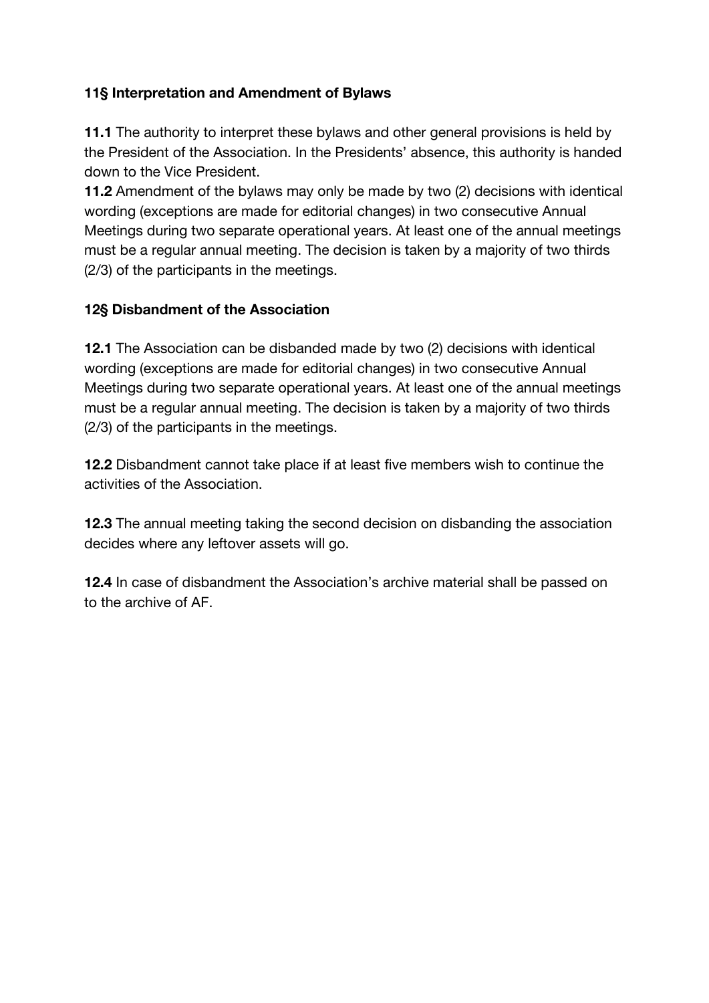### **11§ Interpretation and Amendment of Bylaws**

**11.1** The authority to interpret these bylaws and other general provisions is held by the President of the Association. In the Presidents' absence, this authority is handed down to the Vice President.

**11.2** Amendment of the bylaws may only be made by two (2) decisions with identical wording (exceptions are made for editorial changes) in two consecutive Annual Meetings during two separate operational years. At least one of the annual meetings must be a regular annual meeting. The decision is taken by a majority of two thirds (2/3) of the participants in the meetings.

### **12§ Disbandment of the Association**

**12.1** The Association can be disbanded made by two (2) decisions with identical wording (exceptions are made for editorial changes) in two consecutive Annual Meetings during two separate operational years. At least one of the annual meetings must be a regular annual meeting. The decision is taken by a majority of two thirds (2/3) of the participants in the meetings.

**12.2** Disbandment cannot take place if at least five members wish to continue the activities of the Association.

**12.3** The annual meeting taking the second decision on disbanding the association decides where any leftover assets will go.

**12.4** In case of disbandment the Association's archive material shall be passed on to the archive of AF.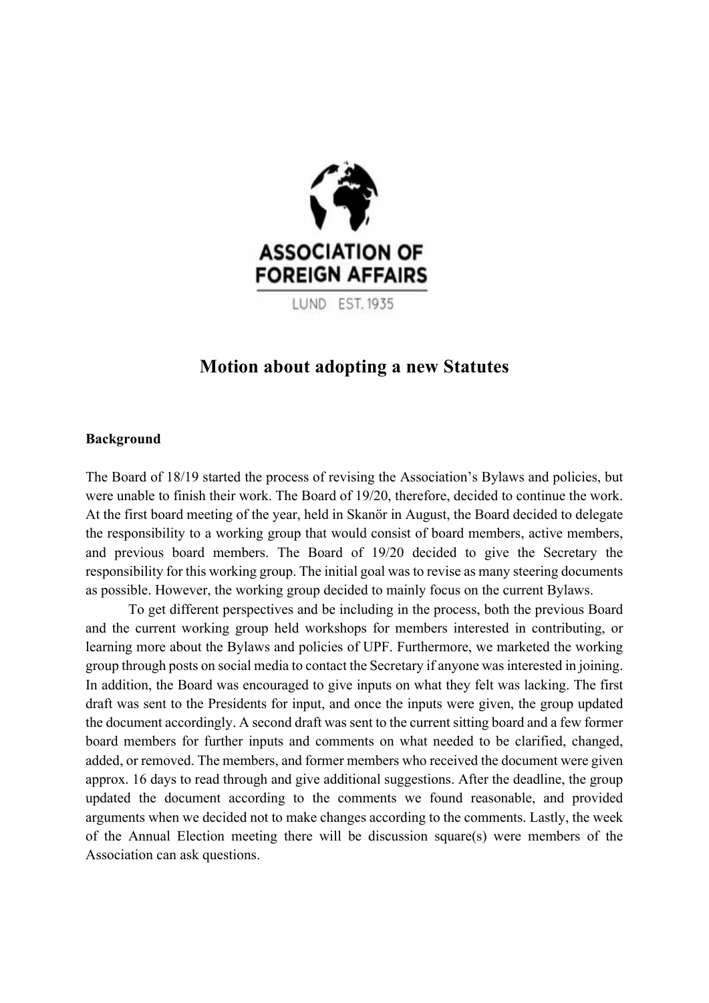

**LUND EST. 1935** 

## **Motion about adopting a new Statutes**

#### **Background**

The Board of 18/19 started the process of revising the Association's Bylaws and policies, but were unable to finish their work. The Board of 19/20, therefore, decided to continue the work. At the first board meeting of the year, held in Skanör in August, the Board decided to delegate the responsibility to a working group that would consist of board members, active members, and previous board members. The Board of 19/20 decided to give the Secretary the responsibility for this working group. The initial goal was to revise as many steering documents as possible. However, the working group decided to mainly focus on the current Bylaws.

To get different perspectives and be including in the process, both the previous Board and the current working group held workshops for members interested in contributing, or learning more about the Bylaws and policies of UPF. Furthermore, we marketed the working group through posts on social media to contact the Secretary if anyone was interested in joining. In addition, the Board was encouraged to give inputs on what they felt was lacking. The first draft was sent to the Presidents for input, and once the inputs were given, the group updated the document accordingly. A second draft was sent to the current sitting board and a few former board members for further inputs and comments on what needed to be clarified, changed, added, or removed. The members, and former members who received the document were given approx. 16 days to read through and give additional suggestions. After the deadline, the group updated the document according to the comments we found reasonable, and provided arguments when we decided not to make changes according to the comments. Lastly, the week of the Annual Election meeting there will be discussion square(s) were members of the Association can ask questions.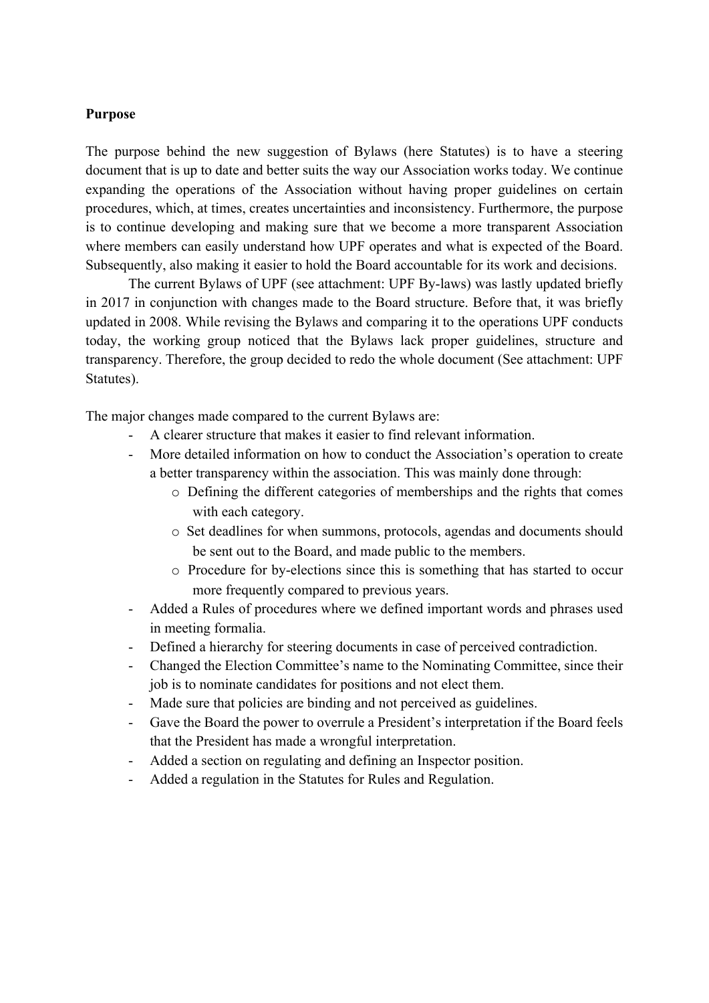#### **Purpose**

The purpose behind the new suggestion of Bylaws (here Statutes) is to have a steering document that is up to date and better suits the way our Association works today. We continue expanding the operations of the Association without having proper guidelines on certain procedures, which, at times, creates uncertainties and inconsistency. Furthermore, the purpose is to continue developing and making sure that we become a more transparent Association where members can easily understand how UPF operates and what is expected of the Board. Subsequently, also making it easier to hold the Board accountable for its work and decisions.

The current Bylaws of UPF (see attachment: UPF By-laws) was lastly updated briefly in 2017 in conjunction with changes made to the Board structure. Before that, it was briefly updated in 2008. While revising the Bylaws and comparing it to the operations UPF conducts today, the working group noticed that the Bylaws lack proper guidelines, structure and transparency. Therefore, the group decided to redo the whole document (See attachment: UPF Statutes).

The major changes made compared to the current Bylaws are:

- A clearer structure that makes it easier to find relevant information.
- More detailed information on how to conduct the Association's operation to create a better transparency within the association. This was mainly done through:
	- o Defining the different categories of memberships and the rights that comes with each category.
	- o Set deadlines for when summons, protocols, agendas and documents should be sent out to the Board, and made public to the members.
	- o Procedure for by-elections since this is something that has started to occur more frequently compared to previous years.
- Added a Rules of procedures where we defined important words and phrases used in meeting formalia.
- Defined a hierarchy for steering documents in case of perceived contradiction.
- Changed the Election Committee's name to the Nominating Committee, since their job is to nominate candidates for positions and not elect them.
- Made sure that policies are binding and not perceived as guidelines.
- Gave the Board the power to overrule a President's interpretation if the Board feels that the President has made a wrongful interpretation.
- Added a section on regulating and defining an Inspector position.
- Added a regulation in the Statutes for Rules and Regulation.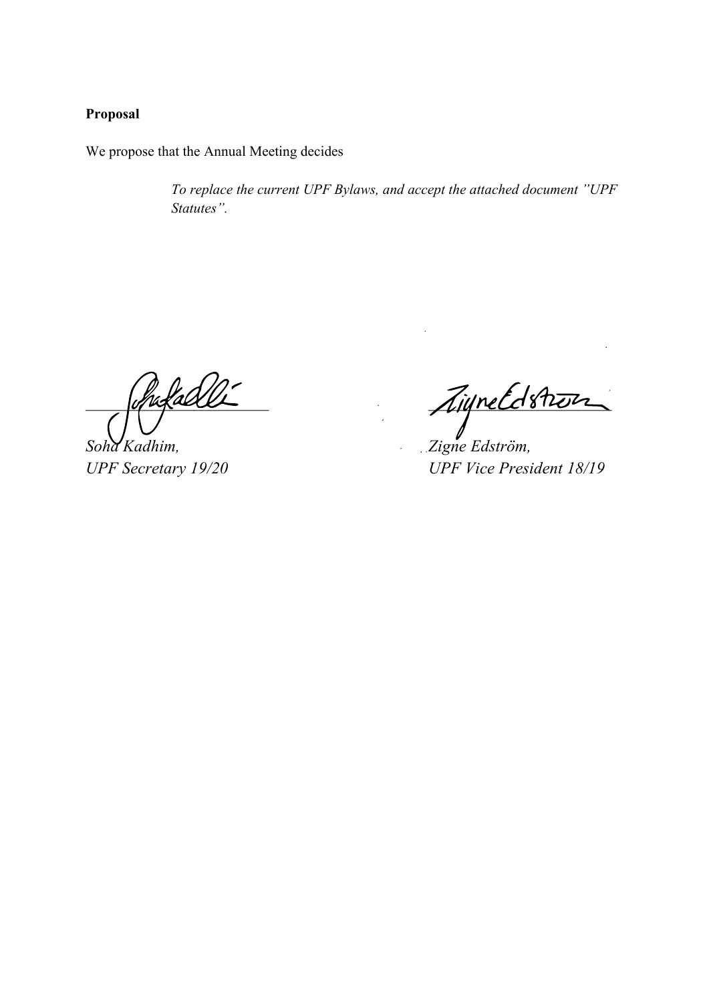### **Proposal**

We propose that the Annual Meeting decides

*To replace the current UPF Bylaws, and accept the attached document "UPF Statutes".* 

*Soha Kadhim, Zigne Edström,* 

Chipelable Inveltation

*UPF Secretary 19/20 UPF Vice President 18/19*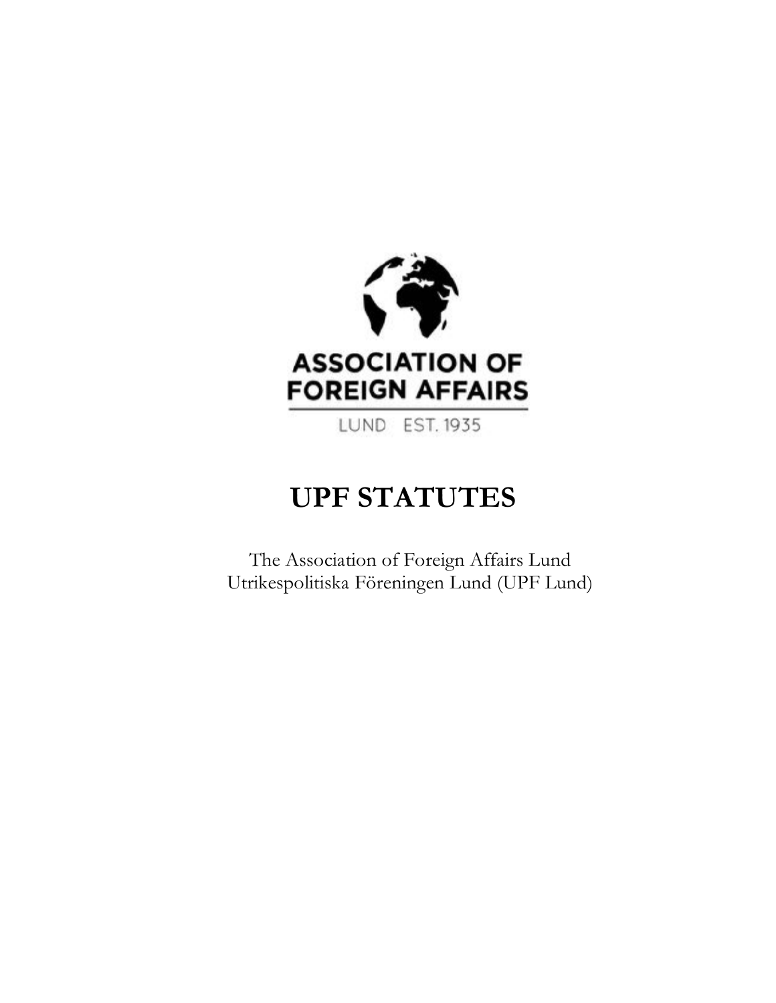

LUND EST. 1935

# **UPF STATUTES**

The Association of Foreign Affairs Lund Utrikespolitiska Föreningen Lund (UPF Lund)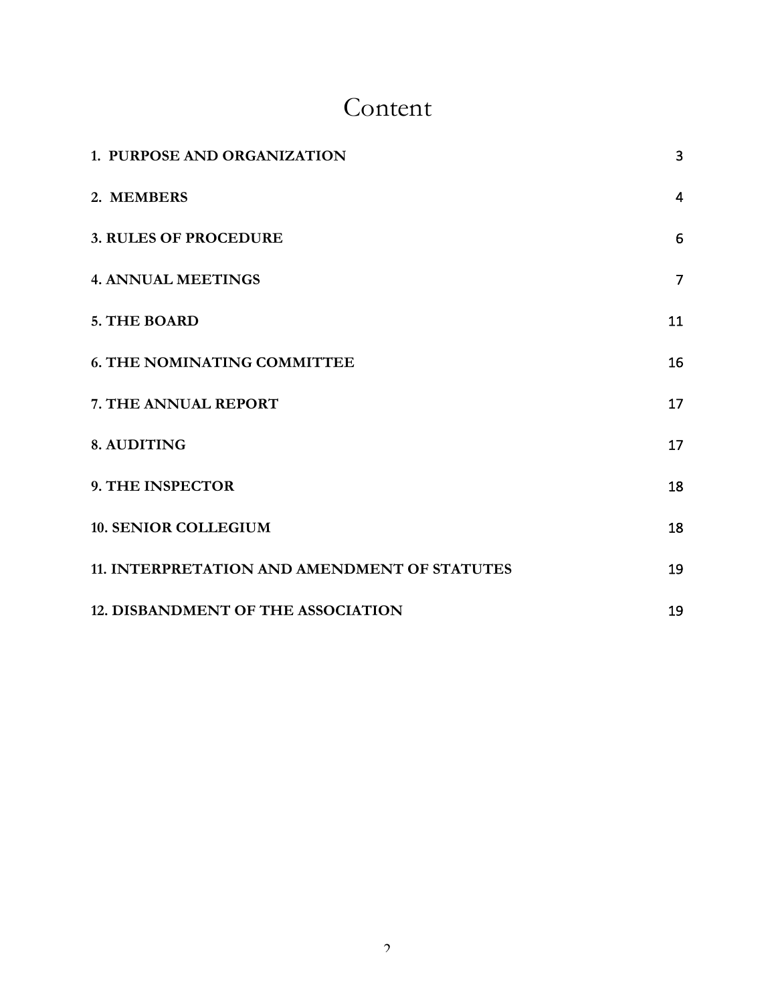## Content

| 1. PURPOSE AND ORGANIZATION                  | $\overline{3}$ |
|----------------------------------------------|----------------|
| 2. MEMBERS                                   | $\overline{4}$ |
| <b>3. RULES OF PROCEDURE</b>                 | 6              |
| <b>4. ANNUAL MEETINGS</b>                    | $\overline{7}$ |
| 5. THE BOARD                                 | 11             |
| <b>6. THE NOMINATING COMMITTEE</b>           | 16             |
| 7. THE ANNUAL REPORT                         | 17             |
| 8. AUDITING                                  | 17             |
| 9. THE INSPECTOR                             | 18             |
| <b>10. SENIOR COLLEGIUM</b>                  | 18             |
| 11. INTERPRETATION AND AMENDMENT OF STATUTES | 19             |
| <b>12. DISBANDMENT OF THE ASSOCIATION</b>    | 19             |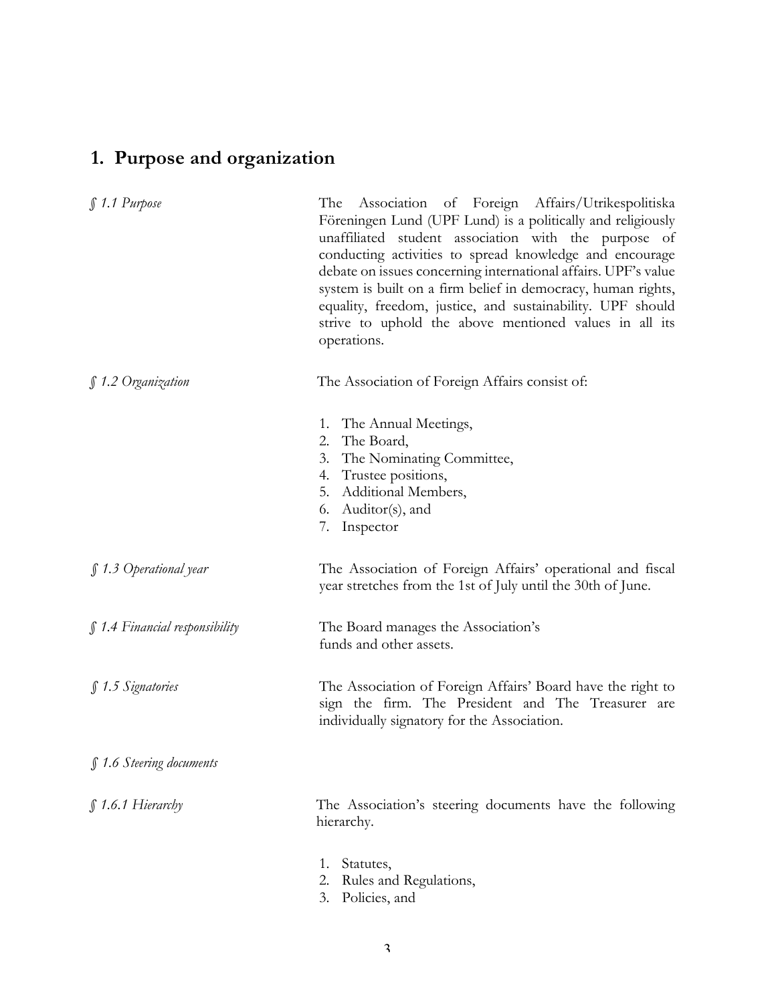## **1. Purpose and organization**

| $$1.1$ Purpose                 | The Association of Foreign Affairs/Utrikespolitiska<br>Föreningen Lund (UPF Lund) is a politically and religiously<br>unaffiliated student association with the purpose of<br>conducting activities to spread knowledge and encourage<br>debate on issues concerning international affairs. UPF's value<br>system is built on a firm belief in democracy, human rights,<br>equality, freedom, justice, and sustainability. UPF should<br>strive to uphold the above mentioned values in all its<br>operations. |
|--------------------------------|----------------------------------------------------------------------------------------------------------------------------------------------------------------------------------------------------------------------------------------------------------------------------------------------------------------------------------------------------------------------------------------------------------------------------------------------------------------------------------------------------------------|
| ∫1.2 Organization              | The Association of Foreign Affairs consist of:                                                                                                                                                                                                                                                                                                                                                                                                                                                                 |
|                                | The Annual Meetings,<br>1.<br>The Board,<br>2.<br>The Nominating Committee,<br>3.<br>Trustee positions,<br>4.<br>Additional Members,<br>5.<br>Auditor(s), and<br>6.<br>7.<br>Inspector                                                                                                                                                                                                                                                                                                                         |
| $\int$ 1.3 Operational year    | The Association of Foreign Affairs' operational and fiscal<br>year stretches from the 1st of July until the 30th of June.                                                                                                                                                                                                                                                                                                                                                                                      |
| § 1.4 Financial responsibility | The Board manages the Association's<br>funds and other assets.                                                                                                                                                                                                                                                                                                                                                                                                                                                 |
| § 1.5 Signatories              | The Association of Foreign Affairs' Board have the right to<br>sign the firm. The President and The Treasurer are<br>individually signatory for the Association.                                                                                                                                                                                                                                                                                                                                               |
| § 1.6 Steering documents       |                                                                                                                                                                                                                                                                                                                                                                                                                                                                                                                |
| $$1.6.1$ Hierarchy             | The Association's steering documents have the following<br>hierarchy.                                                                                                                                                                                                                                                                                                                                                                                                                                          |
|                                | Statutes,<br>1.<br>Rules and Regulations,<br>2.                                                                                                                                                                                                                                                                                                                                                                                                                                                                |

3. Policies, and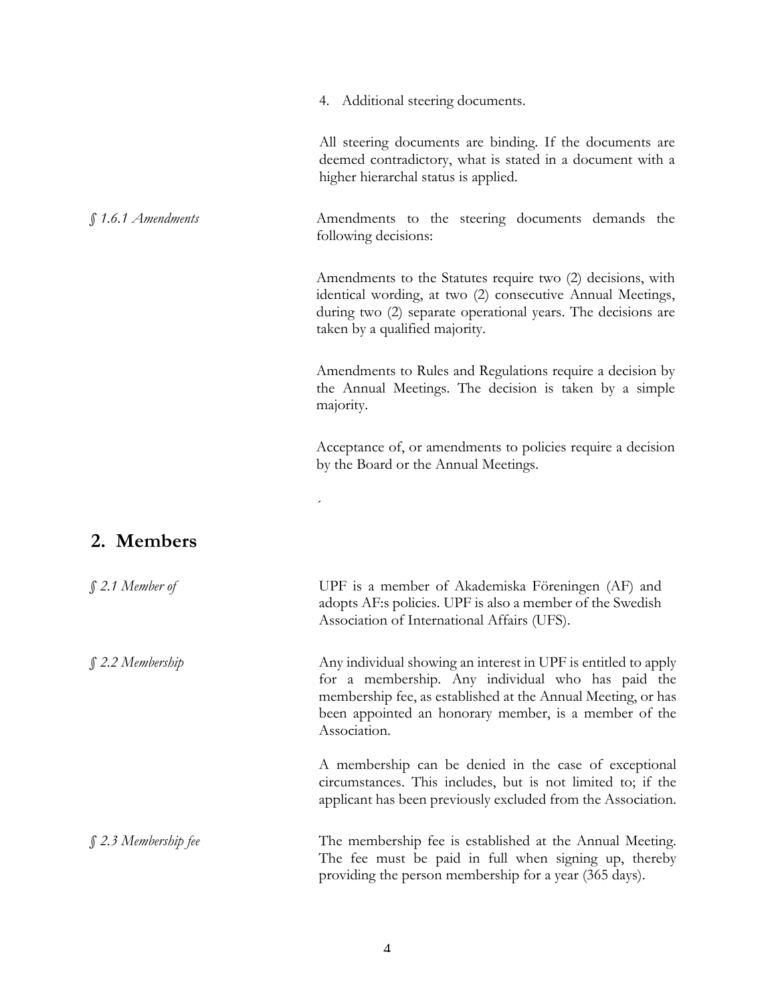|  | Additional steering documents. |
|--|--------------------------------|
|  |                                |

All steering documents are binding. If the documents are deemed contradictory, what is stated in a document with a higher hierarchal status is applied.

*§ 1.6.1 Amendments* Amendments to the steering documents demands the following decisions:

> Amendments to the Statutes require two (2) decisions, with identical wording, at two (2) consecutive Annual Meetings, during two (2) separate operational years. The decisions are taken by a qualified majority.

> Amendments to Rules and Regulations require a decision by the Annual Meetings. The decision is taken by a simple majority.

> Acceptance of, or amendments to policies require a decision by the Board or the Annual Meetings.

## **2. Members**

| $\int$ 2.1 Member of      | UPF is a member of Akademiska Föreningen (AF) and<br>adopts AF:s policies. UPF is also a member of the Swedish<br>Association of International Affairs (UFS).                                                                                                |
|---------------------------|--------------------------------------------------------------------------------------------------------------------------------------------------------------------------------------------------------------------------------------------------------------|
| $$2.2$ Membership         | Any individual showing an interest in UPF is entitled to apply<br>for a membership. Any individual who has paid the<br>membership fee, as established at the Annual Meeting, or has<br>been appointed an honorary member, is a member of the<br>Association. |
|                           | A membership can be denied in the case of exceptional<br>circumstances. This includes, but is not limited to; if the<br>applicant has been previously excluded from the Association.                                                                         |
| $\int$ 2.3 Membership fee | The membership fee is established at the Annual Meeting.<br>The fee must be paid in full when signing up, thereby<br>providing the person membership for a year (365 days).                                                                                  |

´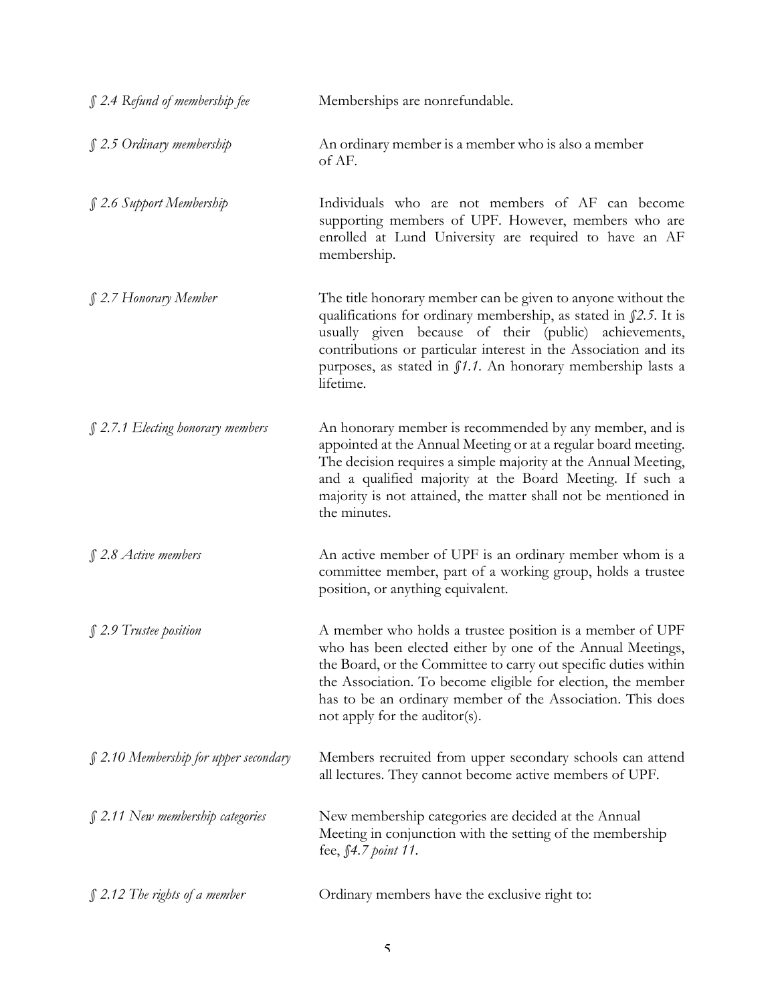| $\int$ 2.4 Refund of membership fee    | Memberships are nonrefundable.                                                                                                                                                                                                                                                                                                                           |
|----------------------------------------|----------------------------------------------------------------------------------------------------------------------------------------------------------------------------------------------------------------------------------------------------------------------------------------------------------------------------------------------------------|
| $$2.5$ Ordinary membership             | An ordinary member is a member who is also a member<br>of AF.                                                                                                                                                                                                                                                                                            |
| § 2.6 Support Membership               | Individuals who are not members of AF can become<br>supporting members of UPF. However, members who are<br>enrolled at Lund University are required to have an AF<br>membership.                                                                                                                                                                         |
| § 2.7 Honorary Member                  | The title honorary member can be given to anyone without the<br>qualifications for ordinary membership, as stated in $\int 2.5$ . It is<br>usually given because of their (public) achievements,<br>contributions or particular interest in the Association and its<br>purposes, as stated in f1.1. An honorary membership lasts a<br>lifetime.          |
| § 2.7.1 Electing honorary members      | An honorary member is recommended by any member, and is<br>appointed at the Annual Meeting or at a regular board meeting.<br>The decision requires a simple majority at the Annual Meeting,<br>and a qualified majority at the Board Meeting. If such a<br>majority is not attained, the matter shall not be mentioned in<br>the minutes.                |
| $$2.8$ Active members                  | An active member of UPF is an ordinary member whom is a<br>committee member, part of a working group, holds a trustee<br>position, or anything equivalent.                                                                                                                                                                                               |
| § 2.9 Trustee position                 | A member who holds a trustee position is a member of UPF<br>who has been elected either by one of the Annual Meetings,<br>the Board, or the Committee to carry out specific duties within<br>the Association. To become eligible for election, the member<br>has to be an ordinary member of the Association. This does<br>not apply for the auditor(s). |
| $$2.10$ Membership for upper secondary | Members recruited from upper secondary schools can attend<br>all lectures. They cannot become active members of UPF.                                                                                                                                                                                                                                     |
| $\int$ 2.11 New membership categories  | New membership categories are decided at the Annual<br>Meeting in conjunction with the setting of the membership<br>fee, §4.7 point 11.                                                                                                                                                                                                                  |
| $\int$ 2.12 The rights of a member     | Ordinary members have the exclusive right to:                                                                                                                                                                                                                                                                                                            |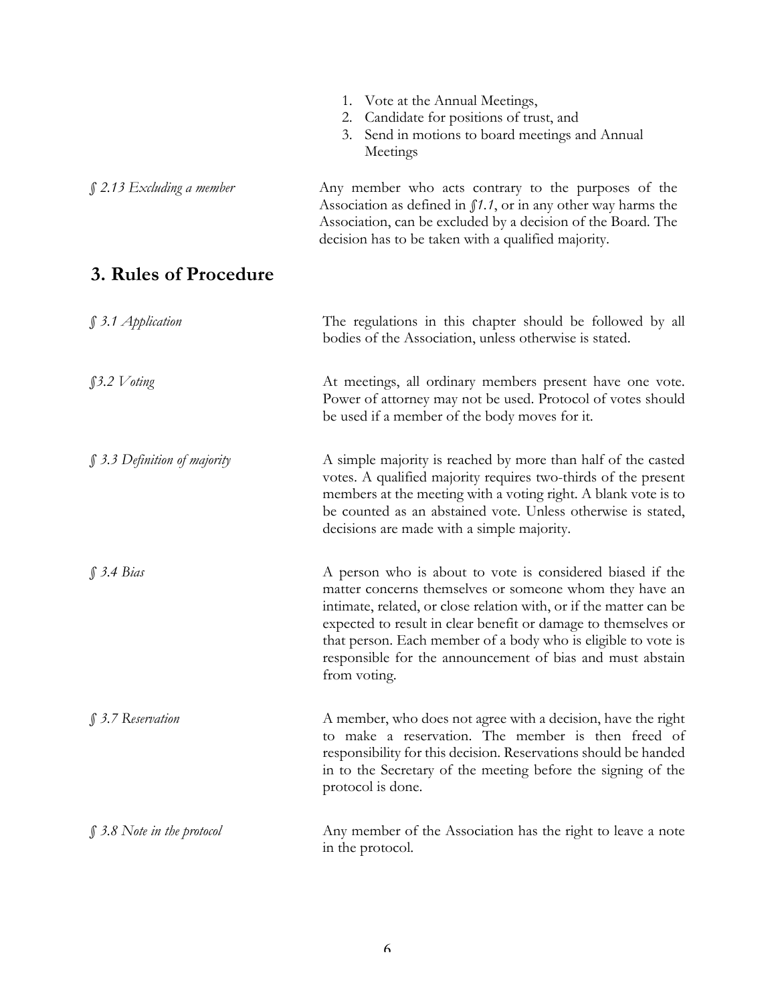|                                 | 1. Vote at the Annual Meetings,<br>Candidate for positions of trust, and<br>2.<br>3. Send in motions to board meetings and Annual<br>Meetings                                                                                                                                                                                                                                                              |
|---------------------------------|------------------------------------------------------------------------------------------------------------------------------------------------------------------------------------------------------------------------------------------------------------------------------------------------------------------------------------------------------------------------------------------------------------|
| § 2.13 Excluding a member       | Any member who acts contrary to the purposes of the<br>Association as defined in $\int 1.1$ , or in any other way harms the<br>Association, can be excluded by a decision of the Board. The<br>decision has to be taken with a qualified majority.                                                                                                                                                         |
| 3. Rules of Procedure           |                                                                                                                                                                                                                                                                                                                                                                                                            |
| § 3.1 Application               | The regulations in this chapter should be followed by all<br>bodies of the Association, unless otherwise is stated.                                                                                                                                                                                                                                                                                        |
| §3.2 Voting                     | At meetings, all ordinary members present have one vote.<br>Power of attorney may not be used. Protocol of votes should<br>be used if a member of the body moves for it.                                                                                                                                                                                                                                   |
| § 3.3 Definition of majority    | A simple majority is reached by more than half of the casted<br>votes. A qualified majority requires two-thirds of the present<br>members at the meeting with a voting right. A blank vote is to<br>be counted as an abstained vote. Unless otherwise is stated,<br>decisions are made with a simple majority.                                                                                             |
| \$3.4 Bias                      | A person who is about to vote is considered biased if the<br>matter concerns themselves or someone whom they have an<br>intimate, related, or close relation with, or if the matter can be<br>expected to result in clear benefit or damage to themselves or<br>that person. Each member of a body who is eligible to vote is<br>responsible for the announcement of bias and must abstain<br>from voting. |
| $\int$ 3.7 Reservation          | A member, who does not agree with a decision, have the right<br>to make a reservation. The member is then freed of<br>responsibility for this decision. Reservations should be handed<br>in to the Secretary of the meeting before the signing of the<br>protocol is done.                                                                                                                                 |
| $\int$ 3.8 Note in the protocol | Any member of the Association has the right to leave a note<br>in the protocol.                                                                                                                                                                                                                                                                                                                            |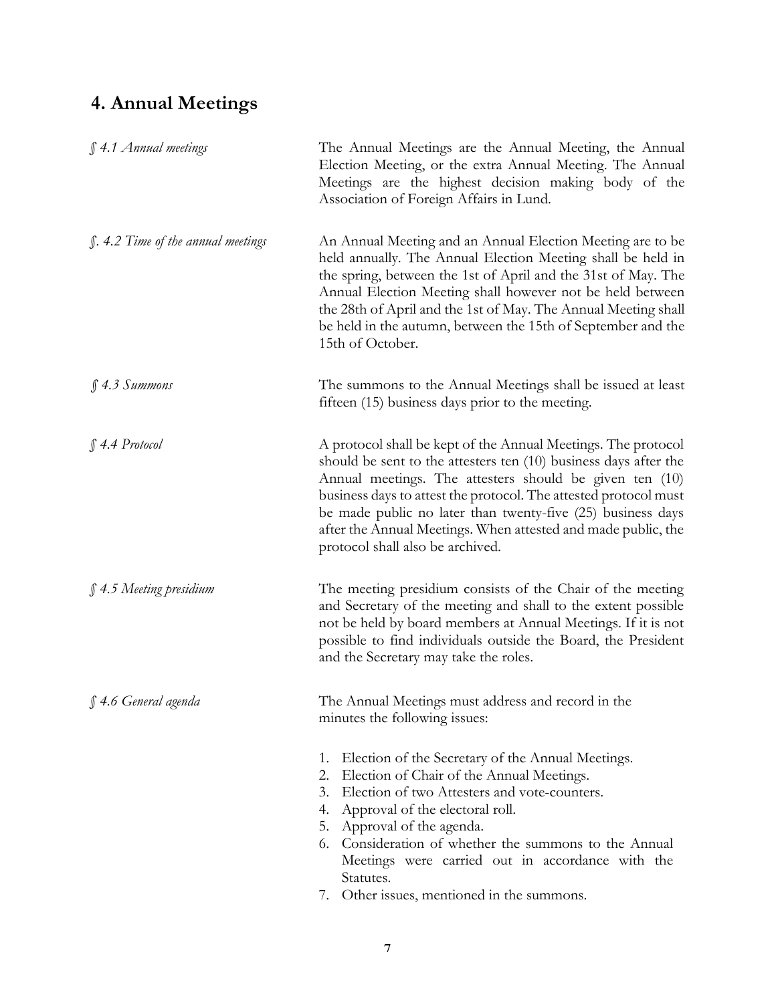## **4. Annual Meetings**

| § 4.1 Annual meetings                     | The Annual Meetings are the Annual Meeting, the Annual<br>Election Meeting, or the extra Annual Meeting. The Annual<br>Meetings are the highest decision making body of the<br>Association of Foreign Affairs in Lund.                                                                                                                                                                                                                 |
|-------------------------------------------|----------------------------------------------------------------------------------------------------------------------------------------------------------------------------------------------------------------------------------------------------------------------------------------------------------------------------------------------------------------------------------------------------------------------------------------|
| <i>S.</i> 4.2 Time of the annual meetings | An Annual Meeting and an Annual Election Meeting are to be<br>held annually. The Annual Election Meeting shall be held in<br>the spring, between the 1st of April and the 31st of May. The<br>Annual Election Meeting shall however not be held between<br>the 28th of April and the 1st of May. The Annual Meeting shall<br>be held in the autumn, between the 15th of September and the<br>15th of October.                          |
| $$4.3~S$ ummons                           | The summons to the Annual Meetings shall be issued at least<br>fifteen (15) business days prior to the meeting.                                                                                                                                                                                                                                                                                                                        |
| $\int$ 4.4 Protocol                       | A protocol shall be kept of the Annual Meetings. The protocol<br>should be sent to the attesters ten $(10)$ business days after the<br>Annual meetings. The attesters should be given ten (10)<br>business days to attest the protocol. The attested protocol must<br>be made public no later than twenty-five (25) business days<br>after the Annual Meetings. When attested and made public, the<br>protocol shall also be archived. |
| $$4.5$ Meeting presidium                  | The meeting presidium consists of the Chair of the meeting<br>and Secretary of the meeting and shall to the extent possible<br>not be held by board members at Annual Meetings. If it is not<br>possible to find individuals outside the Board, the President<br>and the Secretary may take the roles.                                                                                                                                 |
| § 4.6 General agenda                      | The Annual Meetings must address and record in the<br>minutes the following issues:                                                                                                                                                                                                                                                                                                                                                    |
|                                           | 1. Election of the Secretary of the Annual Meetings.<br>Election of Chair of the Annual Meetings.<br>2.<br>Election of two Attesters and vote-counters.<br>3.<br>4. Approval of the electoral roll.<br>5. Approval of the agenda.<br>6. Consideration of whether the summons to the Annual<br>Meetings were carried out in accordance with the<br>Statutes.<br>7. Other issues, mentioned in the summons.                              |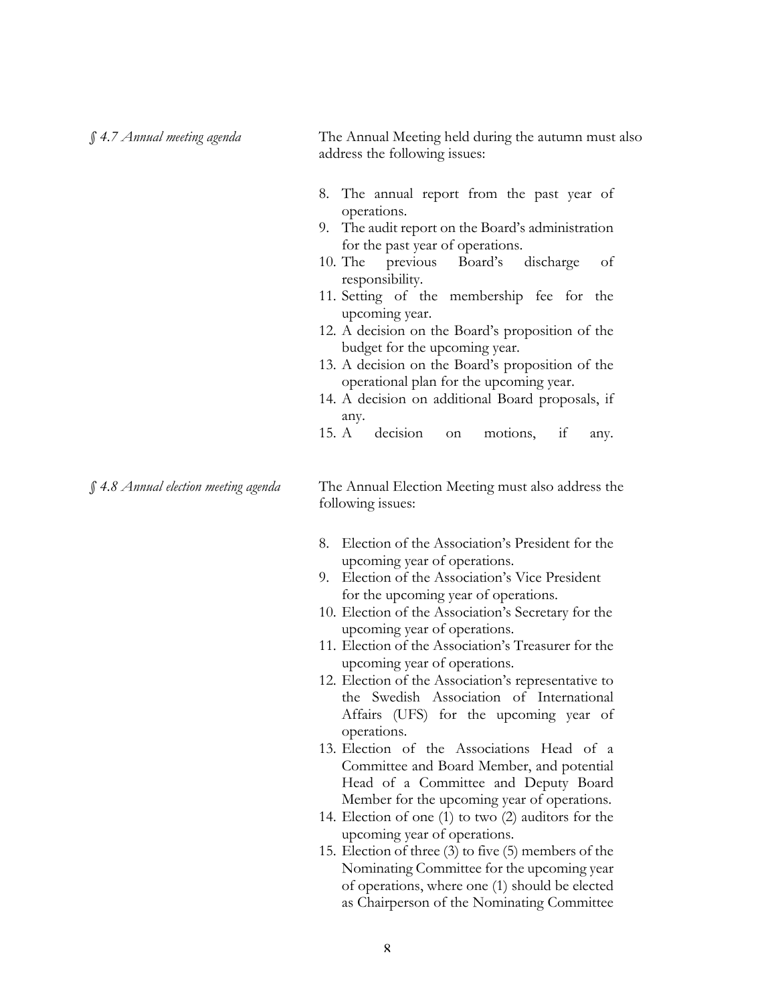address the following issues: 8. The annual report from the past year of operations. 9. The audit report on the Board's administration for the past year of operations. 10. The previous Board's discharge of responsibility. 11. Setting of the membership fee for the upcoming year. 12. A decision on the Board's proposition of the budget for the upcoming year. 13. A decision on the Board's proposition of the operational plan for the upcoming year. 14. A decision on additional Board proposals, if any. 15. A decision on motions, if any. *§ 4.8 Annual election meeting agenda* The Annual Election Meeting must also address the following issues: 8. Election of the Association's President for the upcoming year of operations. 9. Election of the Association's Vice President for the upcoming year of operations. 10. Election of the Association's Secretary for the upcoming year of operations. 11. Election of the Association's Treasurer for the upcoming year of operations. 12. Election of the Association's representative to the Swedish Association of International Affairs (UFS) for the upcoming year of operations.

*§ 4.7 Annual meeting agenda* The Annual Meeting held during the autumn must also

- 13. Election of the Associations Head of a Committee and Board Member, and potential Head of a Committee and Deputy Board Member for the upcoming year of operations.
- 14. Election of one (1) to two (2) auditors for the upcoming year of operations.
- 15. Election of three (3) to five (5) members of the Nominating Committee for the upcoming year of operations, where one (1) should be elected as Chairperson of the Nominating Committee

 $\mathbf{Q}$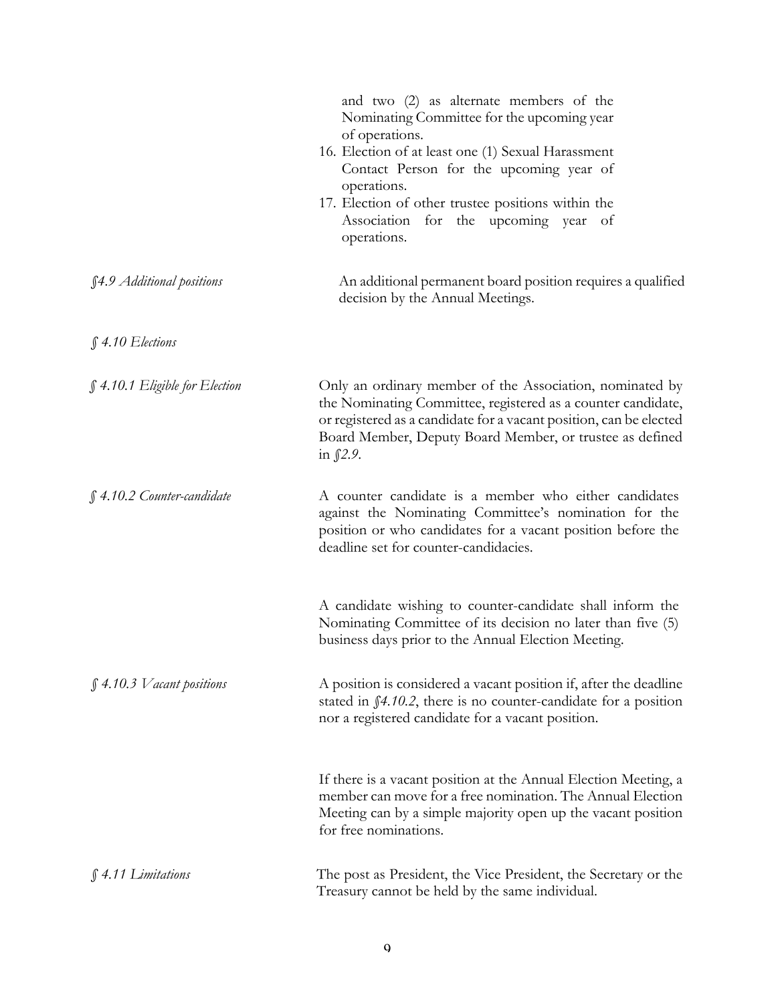|                                | and two (2) as alternate members of the<br>Nominating Committee for the upcoming year<br>of operations.                                                                                                                                                                      |
|--------------------------------|------------------------------------------------------------------------------------------------------------------------------------------------------------------------------------------------------------------------------------------------------------------------------|
|                                | 16. Election of at least one (1) Sexual Harassment<br>Contact Person for the upcoming year of<br>operations.                                                                                                                                                                 |
|                                | 17. Election of other trustee positions within the<br>Association for the upcoming year of<br>operations.                                                                                                                                                                    |
| §4.9 Additional positions      | An additional permanent board position requires a qualified<br>decision by the Annual Meetings.                                                                                                                                                                              |
| $$4.10$ Elections              |                                                                                                                                                                                                                                                                              |
| § 4.10.1 Eligible for Election | Only an ordinary member of the Association, nominated by<br>the Nominating Committee, registered as a counter candidate,<br>or registered as a candidate for a vacant position, can be elected<br>Board Member, Deputy Board Member, or trustee as defined<br>in $\int$ 2.9. |
| § 4.10.2 Counter-candidate     | A counter candidate is a member who either candidates<br>against the Nominating Committee's nomination for the<br>position or who candidates for a vacant position before the<br>deadline set for counter-candidacies.                                                       |
|                                | A candidate wishing to counter-candidate shall inform the<br>Nominating Committee of its decision no later than five (5)<br>business days prior to the Annual Election Meeting.                                                                                              |
| $$4.10.3$ V acant positions    | A position is considered a vacant position if, after the deadline<br>stated in $\int 4.10.2$ , there is no counter-candidate for a position<br>nor a registered candidate for a vacant position.                                                                             |
|                                | If there is a vacant position at the Annual Election Meeting, a<br>member can move for a free nomination. The Annual Election<br>Meeting can by a simple majority open up the vacant position<br>for free nominations.                                                       |
| $$4.11$ Limitations            | The post as President, the Vice President, the Secretary or the<br>Treasury cannot be held by the same individual.                                                                                                                                                           |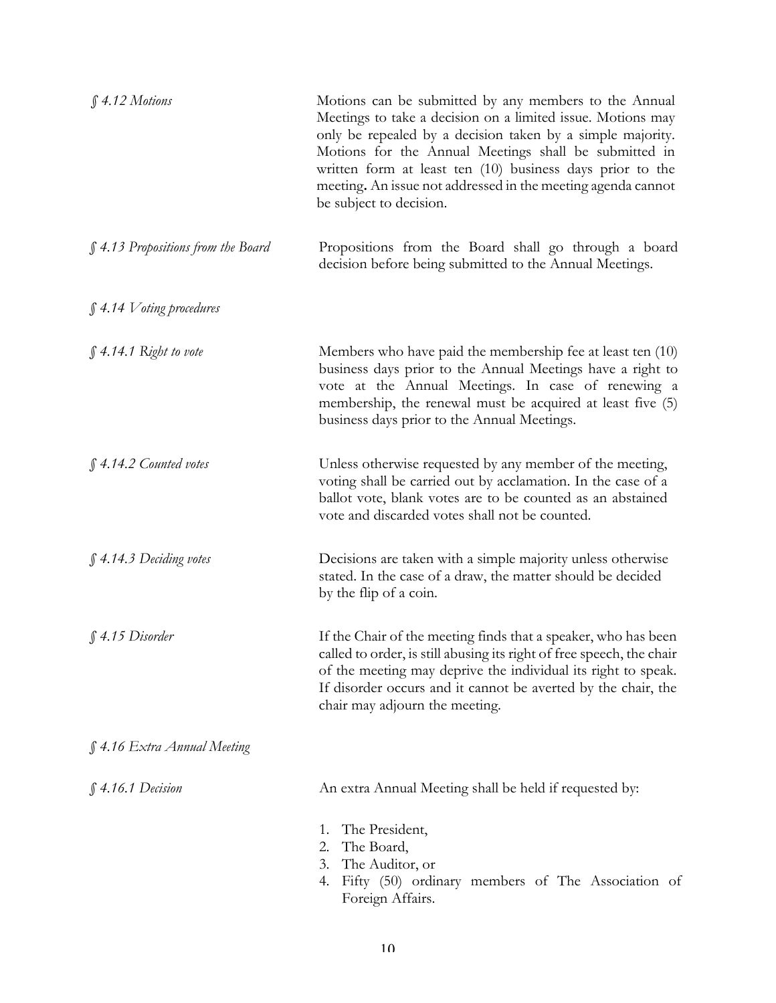| \$4.12~Motions                     | Motions can be submitted by any members to the Annual<br>Meetings to take a decision on a limited issue. Motions may<br>only be repealed by a decision taken by a simple majority.<br>Motions for the Annual Meetings shall be submitted in<br>written form at least ten (10) business days prior to the<br>meeting. An issue not addressed in the meeting agenda cannot<br>be subject to decision. |
|------------------------------------|-----------------------------------------------------------------------------------------------------------------------------------------------------------------------------------------------------------------------------------------------------------------------------------------------------------------------------------------------------------------------------------------------------|
| § 4.13 Propositions from the Board | Propositions from the Board shall go through a board<br>decision before being submitted to the Annual Meetings.                                                                                                                                                                                                                                                                                     |
| $$4.14$ V oting procedures         |                                                                                                                                                                                                                                                                                                                                                                                                     |
| $\int$ 4.14.1 Right to vote        | Members who have paid the membership fee at least ten (10)<br>business days prior to the Annual Meetings have a right to<br>vote at the Annual Meetings. In case of renewing a<br>membership, the renewal must be acquired at least five (5)<br>business days prior to the Annual Meetings.                                                                                                         |
| § 4.14.2 Counted votes             | Unless otherwise requested by any member of the meeting,<br>voting shall be carried out by acclamation. In the case of a<br>ballot vote, blank votes are to be counted as an abstained<br>vote and discarded votes shall not be counted.                                                                                                                                                            |
| $$4.14.3$ Deciding votes           | Decisions are taken with a simple majority unless otherwise<br>stated. In the case of a draw, the matter should be decided<br>by the flip of a coin.                                                                                                                                                                                                                                                |
| $$4.15$ Disorder                   | If the Chair of the meeting finds that a speaker, who has been<br>called to order, is still abusing its right of free speech, the chair<br>of the meeting may deprive the individual its right to speak.<br>If disorder occurs and it cannot be averted by the chair, the<br>chair may adjourn the meeting.                                                                                         |
| § 4.16 Extra Annual Meeting        |                                                                                                                                                                                                                                                                                                                                                                                                     |
| § 4.16.1 Decision                  | An extra Annual Meeting shall be held if requested by:                                                                                                                                                                                                                                                                                                                                              |
|                                    | The President,<br>1.<br>The Board,<br>2.<br>The Auditor, or<br>3.<br>Fifty (50) ordinary members of The Association of<br>4.<br>Foreign Affairs.                                                                                                                                                                                                                                                    |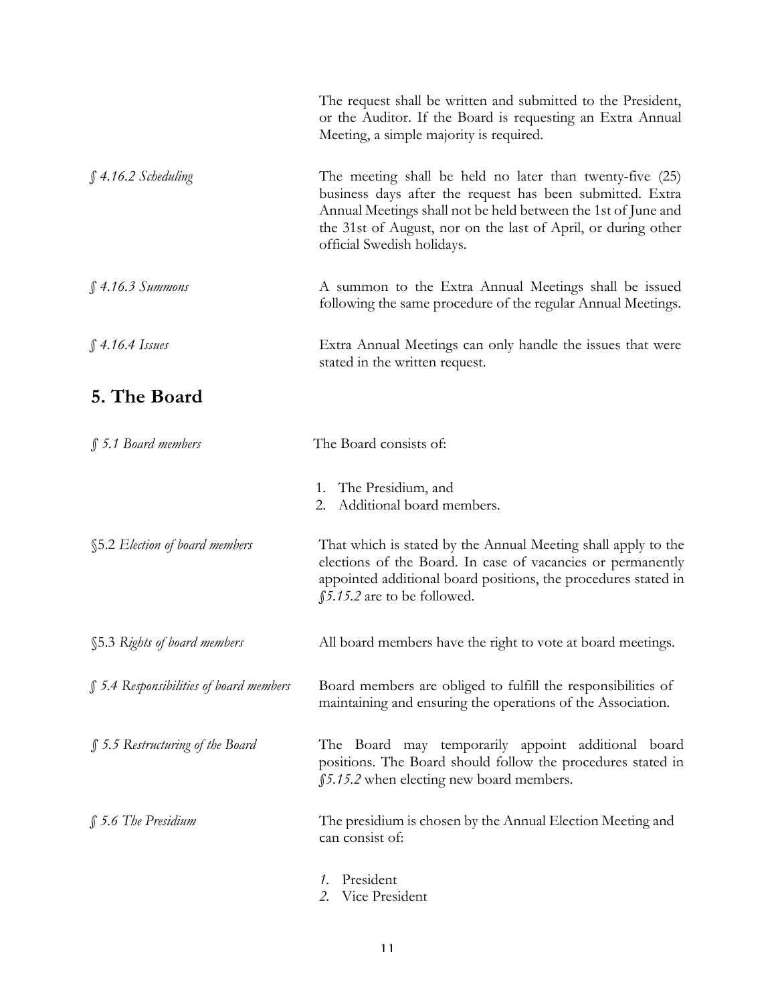|                                         | The request shall be written and submitted to the President,<br>or the Auditor. If the Board is requesting an Extra Annual<br>Meeting, a simple majority is required.                                                                                                                 |
|-----------------------------------------|---------------------------------------------------------------------------------------------------------------------------------------------------------------------------------------------------------------------------------------------------------------------------------------|
| $$4.16.2$ Scheduling                    | The meeting shall be held no later than twenty-five (25)<br>business days after the request has been submitted. Extra<br>Annual Meetings shall not be held between the 1st of June and<br>the 31st of August, nor on the last of April, or during other<br>official Swedish holidays. |
| $$4.16.3$ Summons                       | A summon to the Extra Annual Meetings shall be issued<br>following the same procedure of the regular Annual Meetings.                                                                                                                                                                 |
| $$4.16.4$ Issues                        | Extra Annual Meetings can only handle the issues that were<br>stated in the written request.                                                                                                                                                                                          |
| 5. The Board                            |                                                                                                                                                                                                                                                                                       |
| § 5.1 Board members                     | The Board consists of:                                                                                                                                                                                                                                                                |
|                                         | 1. The Presidium, and<br>Additional board members.<br>2.                                                                                                                                                                                                                              |
| §5.2 Election of board members          | That which is stated by the Annual Meeting shall apply to the<br>elections of the Board. In case of vacancies or permanently<br>appointed additional board positions, the procedures stated in<br>\$5.15.2 are to be followed.                                                        |
| §5.3 Rights of board members            | All board members have the right to vote at board meetings.                                                                                                                                                                                                                           |
| § 5.4 Responsibilities of board members | Board members are obliged to fulfill the responsibilities of<br>maintaining and ensuring the operations of the Association.                                                                                                                                                           |
| § 5.5 Restructuring of the Board        | The Board may temporarily appoint additional board<br>positions. The Board should follow the procedures stated in<br>\$5.15.2 when electing new board members.                                                                                                                        |
| § 5.6 The Presidium                     | The presidium is chosen by the Annual Election Meeting and<br>can consist of:                                                                                                                                                                                                         |
|                                         | President<br>1.<br>Vice President                                                                                                                                                                                                                                                     |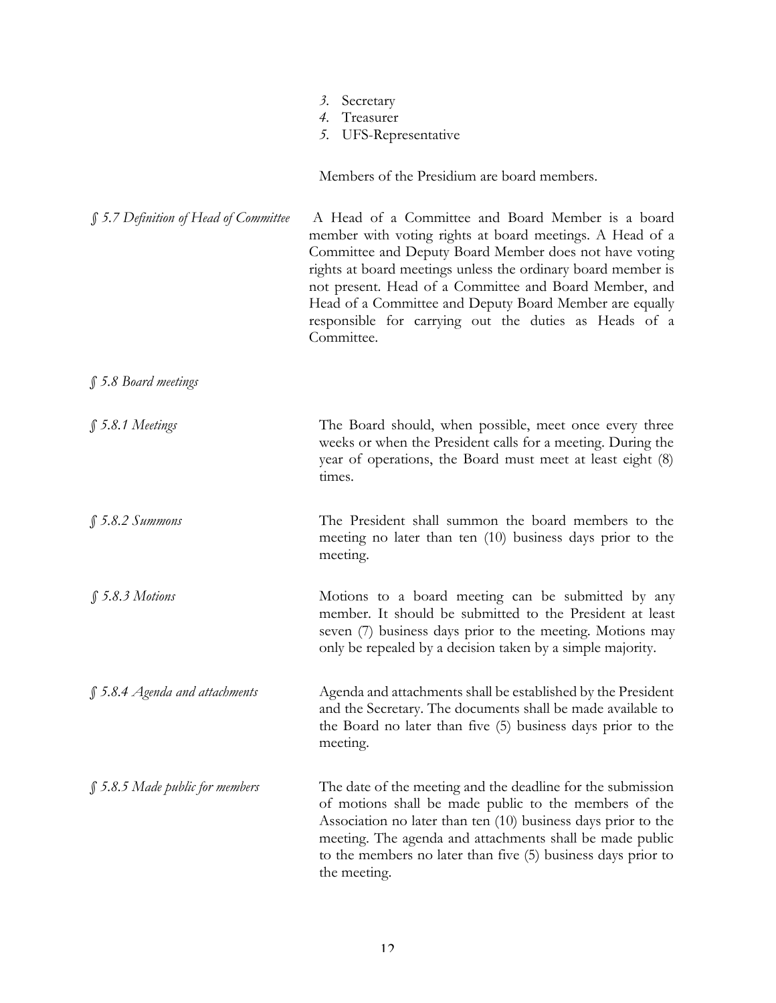|                                       | Secretary<br>3.<br>Treasurer<br>4.<br>5.<br>UFS-Representative                                                                                                                                                                                                                                                                                                                                                                      |
|---------------------------------------|-------------------------------------------------------------------------------------------------------------------------------------------------------------------------------------------------------------------------------------------------------------------------------------------------------------------------------------------------------------------------------------------------------------------------------------|
|                                       | Members of the Presidium are board members.                                                                                                                                                                                                                                                                                                                                                                                         |
| § 5.7 Definition of Head of Committee | A Head of a Committee and Board Member is a board<br>member with voting rights at board meetings. A Head of a<br>Committee and Deputy Board Member does not have voting<br>rights at board meetings unless the ordinary board member is<br>not present. Head of a Committee and Board Member, and<br>Head of a Committee and Deputy Board Member are equally<br>responsible for carrying out the duties as Heads of a<br>Committee. |
| § 5.8 Board meetings                  |                                                                                                                                                                                                                                                                                                                                                                                                                                     |
| $$5.8.1$ Meetings                     | The Board should, when possible, meet once every three<br>weeks or when the President calls for a meeting. During the<br>year of operations, the Board must meet at least eight (8)<br>times.                                                                                                                                                                                                                                       |
| \$5.8.2~Summons                       | The President shall summon the board members to the<br>meeting no later than ten (10) business days prior to the<br>meeting.                                                                                                                                                                                                                                                                                                        |
| $$5.8.3$ Motions                      | Motions to a board meeting can be submitted by any<br>member. It should be submitted to the President at least<br>seven (7) business days prior to the meeting. Motions may<br>only be repealed by a decision taken by a simple majority.                                                                                                                                                                                           |
| $\int$ 5.8.4 Agenda and attachments   | Agenda and attachments shall be established by the President<br>and the Secretary. The documents shall be made available to<br>the Board no later than five (5) business days prior to the<br>meeting.                                                                                                                                                                                                                              |
| $\int$ 5.8.5 Made public for members  | The date of the meeting and the deadline for the submission<br>of motions shall be made public to the members of the<br>Association no later than ten (10) business days prior to the<br>meeting. The agenda and attachments shall be made public<br>to the members no later than five (5) business days prior to<br>the meeting.                                                                                                   |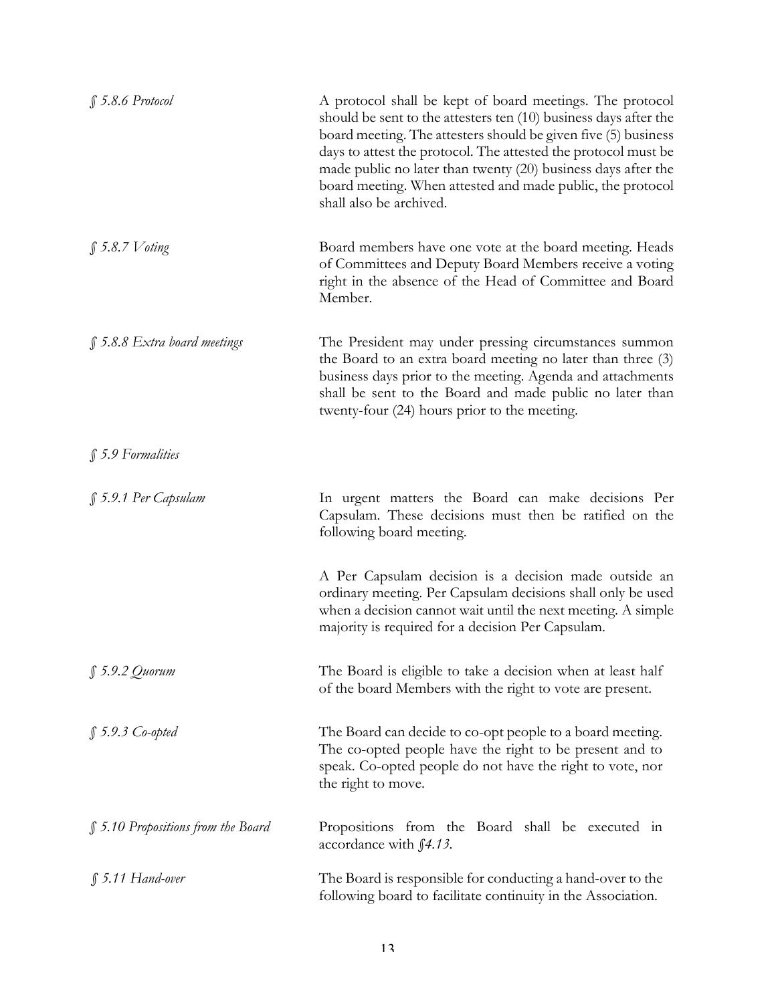| $$5.8.6$ Protocol                  | A protocol shall be kept of board meetings. The protocol<br>should be sent to the attesters ten (10) business days after the<br>board meeting. The attesters should be given five (5) business<br>days to attest the protocol. The attested the protocol must be<br>made public no later than twenty (20) business days after the<br>board meeting. When attested and made public, the protocol<br>shall also be archived. |
|------------------------------------|----------------------------------------------------------------------------------------------------------------------------------------------------------------------------------------------------------------------------------------------------------------------------------------------------------------------------------------------------------------------------------------------------------------------------|
| $\int$ 5.8.7 Voting                | Board members have one vote at the board meeting. Heads<br>of Committees and Deputy Board Members receive a voting<br>right in the absence of the Head of Committee and Board<br>Member.                                                                                                                                                                                                                                   |
| $\int$ 5.8.8 Extra board meetings  | The President may under pressing circumstances summon<br>the Board to an extra board meeting no later than three (3)<br>business days prior to the meeting. Agenda and attachments<br>shall be sent to the Board and made public no later than<br>twenty-four (24) hours prior to the meeting.                                                                                                                             |
| $$5.9$ Formalities                 |                                                                                                                                                                                                                                                                                                                                                                                                                            |
| § 5.9.1 Per Capsulam               | In urgent matters the Board can make decisions Per<br>Capsulam. These decisions must then be ratified on the<br>following board meeting.                                                                                                                                                                                                                                                                                   |
|                                    | A Per Capsulam decision is a decision made outside an<br>ordinary meeting. Per Capsulam decisions shall only be used<br>when a decision cannot wait until the next meeting. A simple<br>majority is required for a decision Per Capsulam.                                                                                                                                                                                  |
| $$5.9.2$ Quorum                    | The Board is eligible to take a decision when at least half<br>of the board Members with the right to vote are present.                                                                                                                                                                                                                                                                                                    |
| $$5.9.3$ Co-opted                  | The Board can decide to co-opt people to a board meeting.<br>The co-opted people have the right to be present and to<br>speak. Co-opted people do not have the right to vote, nor<br>the right to move.                                                                                                                                                                                                                    |
| § 5.10 Propositions from the Board | Propositions from the Board shall be executed in<br>accordance with f4.13.                                                                                                                                                                                                                                                                                                                                                 |
| $$5.11$ Hand-over                  | The Board is responsible for conducting a hand-over to the<br>following board to facilitate continuity in the Association.                                                                                                                                                                                                                                                                                                 |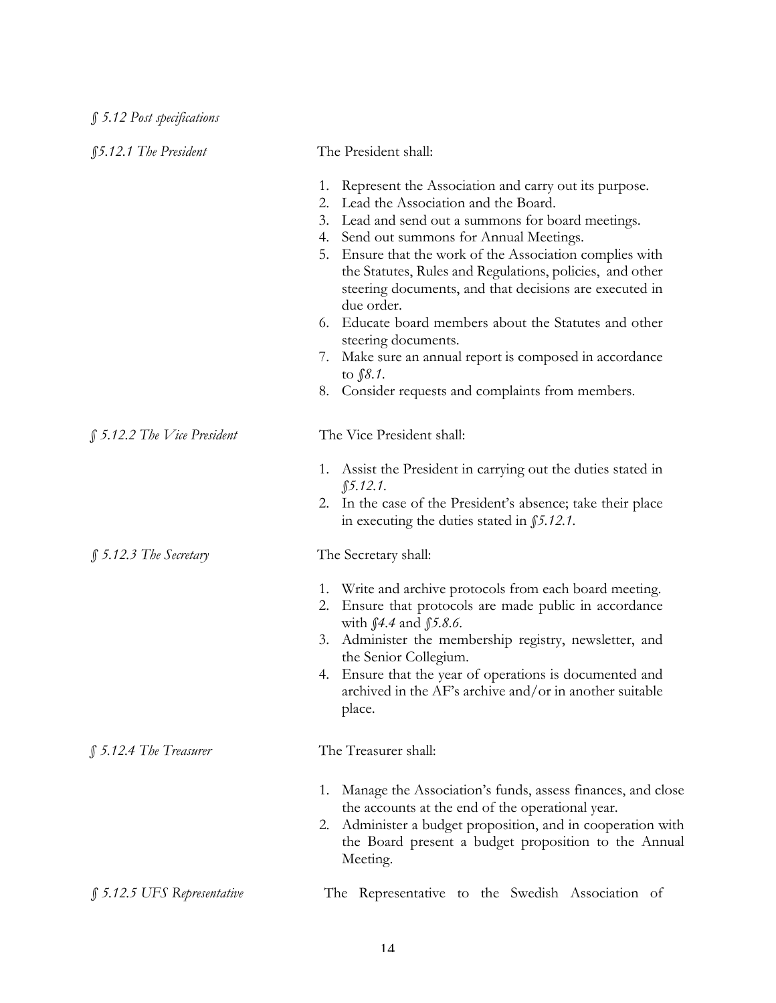| <b><i>f5.12.1 The President</i></b> | The President shall:                                                                                                                                                                                                                                                                                                                                                                                                                                                                                                                                                                                                                  |
|-------------------------------------|---------------------------------------------------------------------------------------------------------------------------------------------------------------------------------------------------------------------------------------------------------------------------------------------------------------------------------------------------------------------------------------------------------------------------------------------------------------------------------------------------------------------------------------------------------------------------------------------------------------------------------------|
|                                     | Represent the Association and carry out its purpose.<br>1.<br>2. Lead the Association and the Board.<br>3. Lead and send out a summons for board meetings.<br>4. Send out summons for Annual Meetings.<br>5. Ensure that the work of the Association complies with<br>the Statutes, Rules and Regulations, policies, and other<br>steering documents, and that decisions are executed in<br>due order.<br>6. Educate board members about the Statutes and other<br>steering documents.<br>Make sure an annual report is composed in accordance<br>$\mathcal{L}$ .<br>to $$8.1$ .<br>8. Consider requests and complaints from members. |
| § 5.12.2 The Vice President         | The Vice President shall:                                                                                                                                                                                                                                                                                                                                                                                                                                                                                                                                                                                                             |
|                                     | 1. Assist the President in carrying out the duties stated in<br>$$5.12.1$ .<br>2. In the case of the President's absence; take their place<br>in executing the duties stated in $$5.12.1$ .                                                                                                                                                                                                                                                                                                                                                                                                                                           |
| $$5.12.3$ The Secretary             | The Secretary shall:                                                                                                                                                                                                                                                                                                                                                                                                                                                                                                                                                                                                                  |
|                                     | 1. Write and archive protocols from each board meeting.<br>Ensure that protocols are made public in accordance<br>2.<br>with $\int 4.4$ and $\int 5.8.6$ .<br>3. Administer the membership registry, newsletter, and<br>the Senior Collegium.<br>Ensure that the year of operations is documented and<br>4.<br>archived in the AF's archive and/or in another suitable<br>place.                                                                                                                                                                                                                                                      |
| $$5.12.4$ The Treasurer             | The Treasurer shall:                                                                                                                                                                                                                                                                                                                                                                                                                                                                                                                                                                                                                  |
|                                     | Manage the Association's funds, assess finances, and close<br>1.<br>the accounts at the end of the operational year.<br>Administer a budget proposition, and in cooperation with<br>2.<br>the Board present a budget proposition to the Annual<br>Meeting.                                                                                                                                                                                                                                                                                                                                                                            |
| $\int$ 5.12.5 UFS Representative    | The Representative to the Swedish Association of                                                                                                                                                                                                                                                                                                                                                                                                                                                                                                                                                                                      |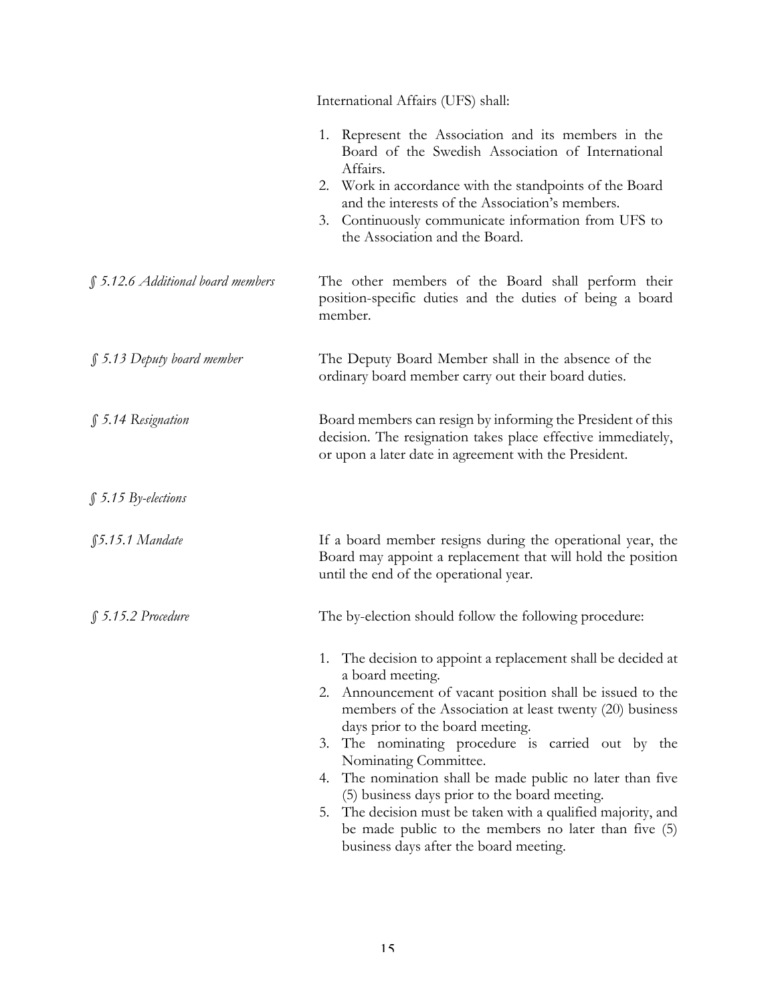|                                   | International Affairs (UFS) shall:                                                                                                                                                                     |
|-----------------------------------|--------------------------------------------------------------------------------------------------------------------------------------------------------------------------------------------------------|
|                                   | 1. Represent the Association and its members in the<br>Board of the Swedish Association of International<br>Affairs.                                                                                   |
|                                   | 2. Work in accordance with the standpoints of the Board<br>and the interests of the Association's members.<br>Continuously communicate information from UFS to<br>3.<br>the Association and the Board. |
| § 5.12.6 Additional board members | The other members of the Board shall perform their<br>position-specific duties and the duties of being a board<br>member.                                                                              |
| $\int$ 5.13 Deputy board member   | The Deputy Board Member shall in the absence of the<br>ordinary board member carry out their board duties.                                                                                             |
| § 5.14 Resignation                | Board members can resign by informing the President of this<br>decision. The resignation takes place effective immediately,<br>or upon a later date in agreement with the President.                   |
| $$5.15$ By-elections              |                                                                                                                                                                                                        |
| $$5.15.1$ Mandate                 | If a board member resigns during the operational year, the<br>Board may appoint a replacement that will hold the position<br>until the end of the operational year.                                    |
| $$5.15.2$ Procedure               | The by-election should follow the following procedure:                                                                                                                                                 |
|                                   | 1. The decision to appoint a replacement shall be decided at<br>a board meeting.                                                                                                                       |
|                                   | Announcement of vacant position shall be issued to the<br>2.<br>members of the Association at least twenty (20) business<br>days prior to the board meeting.                                           |
|                                   | The nominating procedure is carried out by the<br>3.<br>Nominating Committee.                                                                                                                          |
|                                   | 4. The nomination shall be made public no later than five<br>(5) business days prior to the board meeting.                                                                                             |
|                                   | 5. The decision must be taken with a qualified majority, and<br>be made public to the members no later than five (5)<br>business days after the board meeting.                                         |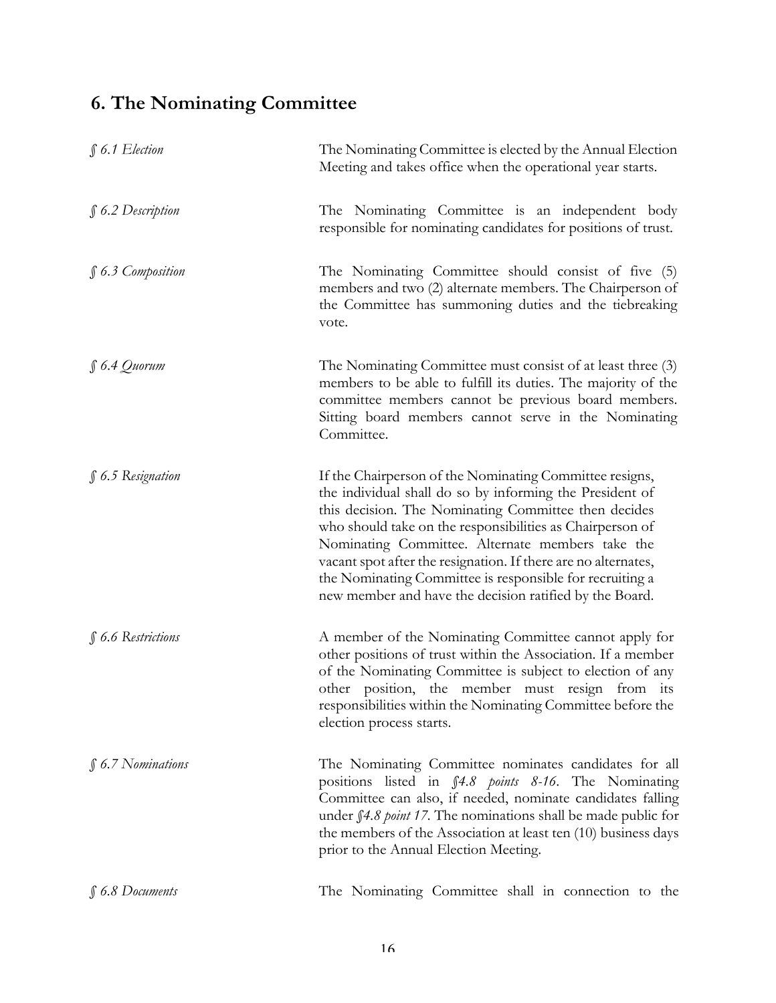## **6. The Nominating Committee**

| $$6.1$ Election        | The Nominating Committee is elected by the Annual Election<br>Meeting and takes office when the operational year starts.                                                                                                                                                                                                                                                                                                                                                              |
|------------------------|---------------------------------------------------------------------------------------------------------------------------------------------------------------------------------------------------------------------------------------------------------------------------------------------------------------------------------------------------------------------------------------------------------------------------------------------------------------------------------------|
| $$6.2$ Description     | The Nominating Committee is an independent body<br>responsible for nominating candidates for positions of trust.                                                                                                                                                                                                                                                                                                                                                                      |
| § 6.3 Composition      | The Nominating Committee should consist of five (5)<br>members and two (2) alternate members. The Chairperson of<br>the Committee has summoning duties and the tiebreaking<br>vote.                                                                                                                                                                                                                                                                                                   |
| $\int 6.4$ Quorum      | The Nominating Committee must consist of at least three (3)<br>members to be able to fulfill its duties. The majority of the<br>committee members cannot be previous board members.<br>Sitting board members cannot serve in the Nominating<br>Committee.                                                                                                                                                                                                                             |
| § 6.5 Resignation      | If the Chairperson of the Nominating Committee resigns,<br>the individual shall do so by informing the President of<br>this decision. The Nominating Committee then decides<br>who should take on the responsibilities as Chairperson of<br>Nominating Committee. Alternate members take the<br>vacant spot after the resignation. If there are no alternates,<br>the Nominating Committee is responsible for recruiting a<br>new member and have the decision ratified by the Board. |
| § 6.6 Restrictions     | A member of the Nominating Committee cannot apply for<br>other positions of trust within the Association. If a member<br>of the Nominating Committee is subject to election of any<br>other position, the member must resign from its<br>responsibilities within the Nominating Committee before the<br>election process starts.                                                                                                                                                      |
| $\int$ 6.7 Nominations | The Nominating Committee nominates candidates for all<br>positions listed in §4.8 points 8-16. The Nominating<br>Committee can also, if needed, nominate candidates falling<br>under f4.8 point 17. The nominations shall be made public for<br>the members of the Association at least ten (10) business days<br>prior to the Annual Election Meeting.                                                                                                                               |
| $$6.8$ Documents       | The Nominating Committee shall in connection to the                                                                                                                                                                                                                                                                                                                                                                                                                                   |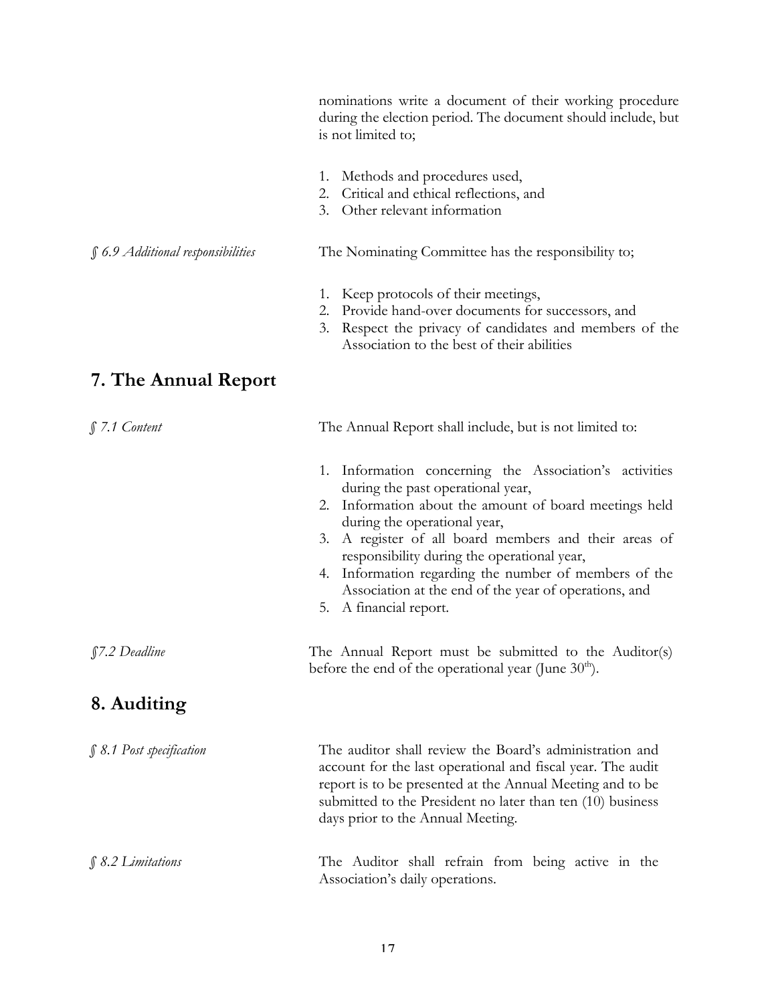nominations write a document of their working procedure during the election period. The document should include, but is not limited to;

- 1. Methods and procedures used,
- 2. Critical and ethical reflections, and
- 3. Other relevant information

#### *§ 6.9 Additional responsibilities* The Nominating Committee has the responsibility to;

- 1. Keep protocols of their meetings,
- 2. Provide hand-over documents for successors, and
- 3. Respect the privacy of candidates and members of the Association to the best of their abilities

## **7. The Annual Report**

| $$7.1$ Content           | The Annual Report shall include, but is not limited to:                                                                                                                                                                                                                                                                                                                                                                                            |
|--------------------------|----------------------------------------------------------------------------------------------------------------------------------------------------------------------------------------------------------------------------------------------------------------------------------------------------------------------------------------------------------------------------------------------------------------------------------------------------|
|                          | 1. Information concerning the Association's activities<br>during the past operational year,<br>Information about the amount of board meetings held<br>2.<br>during the operational year,<br>A register of all board members and their areas of<br>3.<br>responsibility during the operational year,<br>4. Information regarding the number of members of the<br>Association at the end of the year of operations, and<br>A financial report.<br>5. |
| §7.2 Deadline            | The Annual Report must be submitted to the Auditor(s)<br>before the end of the operational year (June $30th$ ).                                                                                                                                                                                                                                                                                                                                    |
| 8. Auditing              |                                                                                                                                                                                                                                                                                                                                                                                                                                                    |
| § 8.1 Post specification | The auditor shall review the Board's administration and<br>account for the last operational and fiscal year. The audit<br>report is to be presented at the Annual Meeting and to be<br>submitted to the President no later than ten (10) business<br>days prior to the Annual Meeting.                                                                                                                                                             |
| $$8.2$ Limitations       | The Auditor shall refrain from being active in the<br>Association's daily operations.                                                                                                                                                                                                                                                                                                                                                              |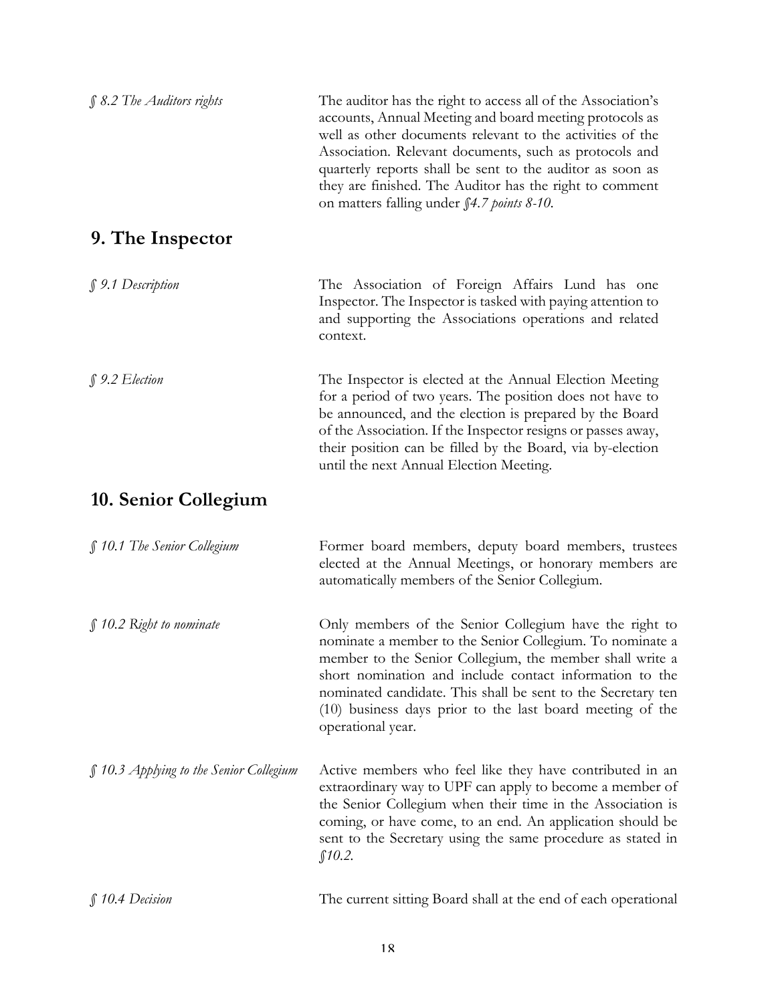| $$8.2$ The Auditors rights              | The auditor has the right to access all of the Association's<br>accounts, Annual Meeting and board meeting protocols as<br>well as other documents relevant to the activities of the<br>Association. Relevant documents, such as protocols and<br>quarterly reports shall be sent to the auditor as soon as<br>they are finished. The Auditor has the right to comment<br>on matters falling under \$4.7 points 8-10. |
|-----------------------------------------|-----------------------------------------------------------------------------------------------------------------------------------------------------------------------------------------------------------------------------------------------------------------------------------------------------------------------------------------------------------------------------------------------------------------------|
| 9. The Inspector                        |                                                                                                                                                                                                                                                                                                                                                                                                                       |
| § 9.1 Description                       | The Association of Foreign Affairs Lund has one<br>Inspector. The Inspector is tasked with paying attention to<br>and supporting the Associations operations and related<br>context.                                                                                                                                                                                                                                  |
| $$9.2$ Election                         | The Inspector is elected at the Annual Election Meeting<br>for a period of two years. The position does not have to<br>be announced, and the election is prepared by the Board<br>of the Association. If the Inspector resigns or passes away,<br>their position can be filled by the Board, via by-election<br>until the next Annual Election Meeting.                                                               |
| 10. Senior Collegium                    |                                                                                                                                                                                                                                                                                                                                                                                                                       |
| § 10.1 The Senior Collegium             | Former board members, deputy board members, trustees<br>elected at the Annual Meetings, or honorary members are<br>automatically members of the Senior Collegium.                                                                                                                                                                                                                                                     |
| $\int$ 10.2 Right to nominate           | Only members of the Senior Collegium have the right to<br>nominate a member to the Senior Collegium. To nominate a<br>member to the Senior Collegium, the member shall write a<br>short nomination and include contact information to the<br>nominated candidate. This shall be sent to the Secretary ten<br>(10) business days prior to the last board meeting of the<br>operational year.                           |
| § 10.3 Applying to the Senior Collegium | Active members who feel like they have contributed in an<br>extraordinary way to UPF can apply to become a member of<br>the Senior Collegium when their time in the Association is<br>coming, or have come, to an end. An application should be<br>sent to the Secretary using the same procedure as stated in<br>\$10.2\$                                                                                            |
| $$10.4$ Decision                        | The current sitting Board shall at the end of each operational                                                                                                                                                                                                                                                                                                                                                        |